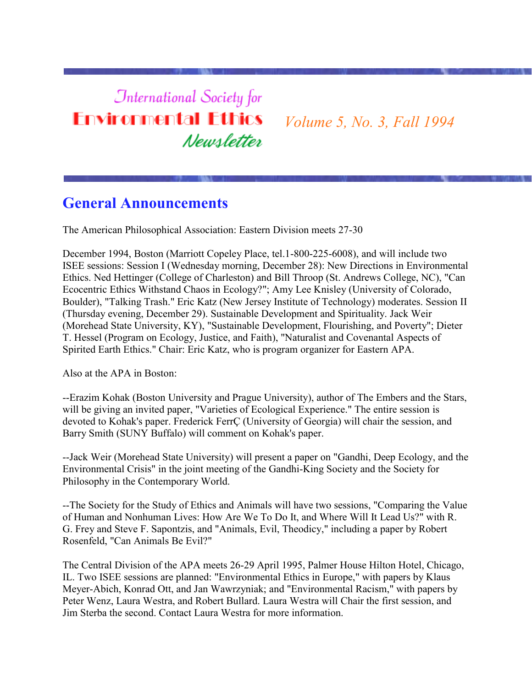# **International Society for Environmental Ethics** Newsletter

*Volume 5, No. 3, Fall 1994*

### **General Announcements**

The American Philosophical Association: Eastern Division meets 27-30

December 1994, Boston (Marriott Copeley Place, tel.1-800-225-6008), and will include two ISEE sessions: Session I (Wednesday morning, December 28): New Directions in Environmental Ethics. Ned Hettinger (College of Charleston) and Bill Throop (St. Andrews College, NC), "Can Ecocentric Ethics Withstand Chaos in Ecology?"; Amy Lee Knisley (University of Colorado, Boulder), "Talking Trash." Eric Katz (New Jersey Institute of Technology) moderates. Session II (Thursday evening, December 29). Sustainable Development and Spirituality. Jack Weir (Morehead State University, KY), "Sustainable Development, Flourishing, and Poverty"; Dieter T. Hessel (Program on Ecology, Justice, and Faith), "Naturalist and Covenantal Aspects of Spirited Earth Ethics." Chair: Eric Katz, who is program organizer for Eastern APA.

Also at the APA in Boston:

--Erazim Kohak (Boston University and Prague University), author of The Embers and the Stars, will be giving an invited paper, "Varieties of Ecological Experience." The entire session is devoted to Kohak's paper. Frederick FerrÇ (University of Georgia) will chair the session, and Barry Smith (SUNY Buffalo) will comment on Kohak's paper.

--Jack Weir (Morehead State University) will present a paper on "Gandhi, Deep Ecology, and the Environmental Crisis" in the joint meeting of the Gandhi-King Society and the Society for Philosophy in the Contemporary World.

--The Society for the Study of Ethics and Animals will have two sessions, "Comparing the Value of Human and Nonhuman Lives: How Are We To Do It, and Where Will It Lead Us?" with R. G. Frey and Steve F. Sapontzis, and "Animals, Evil, Theodicy," including a paper by Robert Rosenfeld, "Can Animals Be Evil?"

The Central Division of the APA meets 26-29 April 1995, Palmer House Hilton Hotel, Chicago, IL. Two ISEE sessions are planned: "Environmental Ethics in Europe," with papers by Klaus Meyer-Abich, Konrad Ott, and Jan Wawrzyniak; and "Environmental Racism," with papers by Peter Wenz, Laura Westra, and Robert Bullard. Laura Westra will Chair the first session, and Jim Sterba the second. Contact Laura Westra for more information.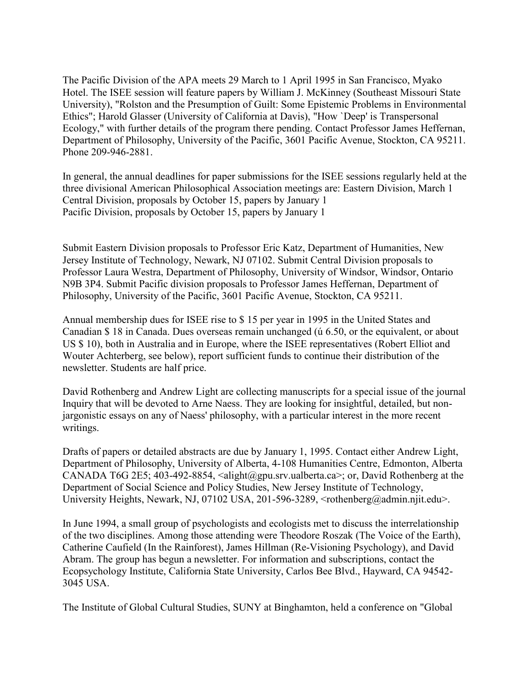The Pacific Division of the APA meets 29 March to 1 April 1995 in San Francisco, Myako Hotel. The ISEE session will feature papers by William J. McKinney (Southeast Missouri State University), "Rolston and the Presumption of Guilt: Some Epistemic Problems in Environmental Ethics"; Harold Glasser (University of California at Davis), "How `Deep' is Transpersonal Ecology," with further details of the program there pending. Contact Professor James Heffernan, Department of Philosophy, University of the Pacific, 3601 Pacific Avenue, Stockton, CA 95211. Phone 209-946-2881.

In general, the annual deadlines for paper submissions for the ISEE sessions regularly held at the three divisional American Philosophical Association meetings are: Eastern Division, March 1 Central Division, proposals by October 15, papers by January 1 Pacific Division, proposals by October 15, papers by January 1

Submit Eastern Division proposals to Professor Eric Katz, Department of Humanities, New Jersey Institute of Technology, Newark, NJ 07102. Submit Central Division proposals to Professor Laura Westra, Department of Philosophy, University of Windsor, Windsor, Ontario N9B 3P4. Submit Pacific division proposals to Professor James Heffernan, Department of Philosophy, University of the Pacific, 3601 Pacific Avenue, Stockton, CA 95211.

Annual membership dues for ISEE rise to \$ 15 per year in 1995 in the United States and Canadian \$ 18 in Canada. Dues overseas remain unchanged (ú 6.50, or the equivalent, or about US \$ 10), both in Australia and in Europe, where the ISEE representatives (Robert Elliot and Wouter Achterberg, see below), report sufficient funds to continue their distribution of the newsletter. Students are half price.

David Rothenberg and Andrew Light are collecting manuscripts for a special issue of the journal Inquiry that will be devoted to Arne Naess. They are looking for insightful, detailed, but nonjargonistic essays on any of Naess' philosophy, with a particular interest in the more recent writings.

Drafts of papers or detailed abstracts are due by January 1, 1995. Contact either Andrew Light, Department of Philosophy, University of Alberta, 4-108 Humanities Centre, Edmonton, Alberta CANADA T6G 2E5; 403-492-8854,  $\langle$ alight@gpu.srv.ualberta.ca>; or, David Rothenberg at the Department of Social Science and Policy Studies, New Jersey Institute of Technology, University Heights, Newark, NJ, 07102 USA, 201-596-3289, <rothenberg@admin.njit.edu>.

In June 1994, a small group of psychologists and ecologists met to discuss the interrelationship of the two disciplines. Among those attending were Theodore Roszak (The Voice of the Earth), Catherine Caufield (In the Rainforest), James Hillman (Re-Visioning Psychology), and David Abram. The group has begun a newsletter. For information and subscriptions, contact the Ecopsychology Institute, California State University, Carlos Bee Blvd., Hayward, CA 94542- 3045 USA.

The Institute of Global Cultural Studies, SUNY at Binghamton, held a conference on "Global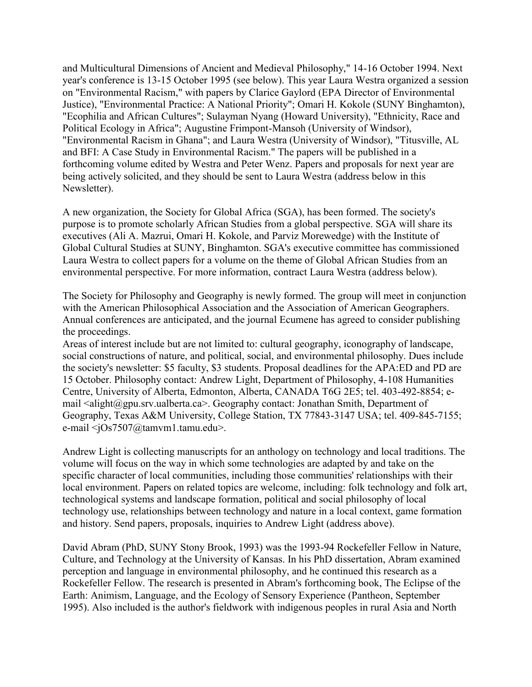and Multicultural Dimensions of Ancient and Medieval Philosophy," 14-16 October 1994. Next year's conference is 13-15 October 1995 (see below). This year Laura Westra organized a session on "Environmental Racism," with papers by Clarice Gaylord (EPA Director of Environmental Justice), "Environmental Practice: A National Priority"; Omari H. Kokole (SUNY Binghamton), "Ecophilia and African Cultures"; Sulayman Nyang (Howard University), "Ethnicity, Race and Political Ecology in Africa"; Augustine Frimpont-Mansoh (University of Windsor), "Environmental Racism in Ghana"; and Laura Westra (University of Windsor), "Titusville, AL and BFI: A Case Study in Environmental Racism." The papers will be published in a forthcoming volume edited by Westra and Peter Wenz. Papers and proposals for next year are being actively solicited, and they should be sent to Laura Westra (address below in this Newsletter).

A new organization, the Society for Global Africa (SGA), has been formed. The society's purpose is to promote scholarly African Studies from a global perspective. SGA will share its executives (Ali A. Mazrui, Omari H. Kokole, and Parviz Morewedge) with the Institute of Global Cultural Studies at SUNY, Binghamton. SGA's executive committee has commissioned Laura Westra to collect papers for a volume on the theme of Global African Studies from an environmental perspective. For more information, contract Laura Westra (address below).

The Society for Philosophy and Geography is newly formed. The group will meet in conjunction with the American Philosophical Association and the Association of American Geographers. Annual conferences are anticipated, and the journal Ecumene has agreed to consider publishing the proceedings.

Areas of interest include but are not limited to: cultural geography, iconography of landscape, social constructions of nature, and political, social, and environmental philosophy. Dues include the society's newsletter: \$5 faculty, \$3 students. Proposal deadlines for the APA:ED and PD are 15 October. Philosophy contact: Andrew Light, Department of Philosophy, 4-108 Humanities Centre, University of Alberta, Edmonton, Alberta, CANADA T6G 2E5; tel. 403-492-8854; email  $\langle$ alight@gpu.srv.ualberta.ca>. Geography contact: Jonathan Smith, Department of Geography, Texas A&M University, College Station, TX 77843-3147 USA; tel. 409-845-7155; e-mail <jOs7507@tamvm1.tamu.edu>.

Andrew Light is collecting manuscripts for an anthology on technology and local traditions. The volume will focus on the way in which some technologies are adapted by and take on the specific character of local communities, including those communities' relationships with their local environment. Papers on related topics are welcome, including: folk technology and folk art, technological systems and landscape formation, political and social philosophy of local technology use, relationships between technology and nature in a local context, game formation and history. Send papers, proposals, inquiries to Andrew Light (address above).

David Abram (PhD, SUNY Stony Brook, 1993) was the 1993-94 Rockefeller Fellow in Nature, Culture, and Technology at the University of Kansas. In his PhD dissertation, Abram examined perception and language in environmental philosophy, and he continued this research as a Rockefeller Fellow. The research is presented in Abram's forthcoming book, The Eclipse of the Earth: Animism, Language, and the Ecology of Sensory Experience (Pantheon, September 1995). Also included is the author's fieldwork with indigenous peoples in rural Asia and North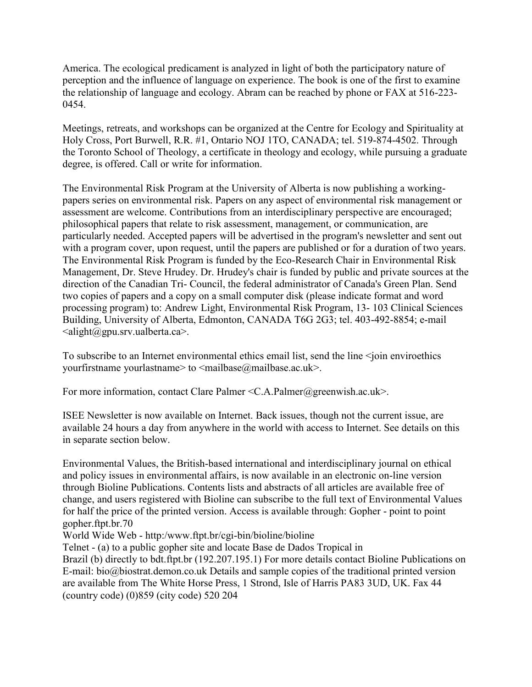America. The ecological predicament is analyzed in light of both the participatory nature of perception and the influence of language on experience. The book is one of the first to examine the relationship of language and ecology. Abram can be reached by phone or FAX at 516-223- 0454.

Meetings, retreats, and workshops can be organized at the Centre for Ecology and Spirituality at Holy Cross, Port Burwell, R.R. #1, Ontario NOJ 1TO, CANADA; tel. 519-874-4502. Through the Toronto School of Theology, a certificate in theology and ecology, while pursuing a graduate degree, is offered. Call or write for information.

The Environmental Risk Program at the University of Alberta is now publishing a workingpapers series on environmental risk. Papers on any aspect of environmental risk management or assessment are welcome. Contributions from an interdisciplinary perspective are encouraged; philosophical papers that relate to risk assessment, management, or communication, are particularly needed. Accepted papers will be advertised in the program's newsletter and sent out with a program cover, upon request, until the papers are published or for a duration of two years. The Environmental Risk Program is funded by the Eco-Research Chair in Environmental Risk Management, Dr. Steve Hrudey. Dr. Hrudey's chair is funded by public and private sources at the direction of the Canadian Tri- Council, the federal administrator of Canada's Green Plan. Send two copies of papers and a copy on a small computer disk (please indicate format and word processing program) to: Andrew Light, Environmental Risk Program, 13- 103 Clinical Sciences Building, University of Alberta, Edmonton, CANADA T6G 2G3; tel. 403-492-8854; e-mail  $\langle$ alight@gpu.srv.ualberta.ca>.

To subscribe to an Internet environmental ethics email list, send the line  $\le$ join enviroethics yourfirstname yourlastname> to <mailbase@mailbase.ac.uk>.

For more information, contact Clare Palmer <C.A.Palmer@greenwish.ac.uk>.

ISEE Newsletter is now available on Internet. Back issues, though not the current issue, are available 24 hours a day from anywhere in the world with access to Internet. See details on this in separate section below.

Environmental Values, the British-based international and interdisciplinary journal on ethical and policy issues in environmental affairs, is now available in an electronic on-line version through Bioline Publications. Contents lists and abstracts of all articles are available free of change, and users registered with Bioline can subscribe to the full text of Environmental Values for half the price of the printed version. Access is available through: Gopher - point to point gopher.ftpt.br.70

World Wide Web - http:/www.ftpt.br/cgi-bin/bioline/bioline

Telnet - (a) to a public gopher site and locate Base de Dados Tropical in

Brazil (b) directly to bdt.ftpt.br (192.207.195.1) For more details contact Bioline Publications on E-mail: bio@biostrat.demon.co.uk Details and sample copies of the traditional printed version are available from The White Horse Press, 1 Strond, Isle of Harris PA83 3UD, UK. Fax 44 (country code) (0)859 (city code) 520 204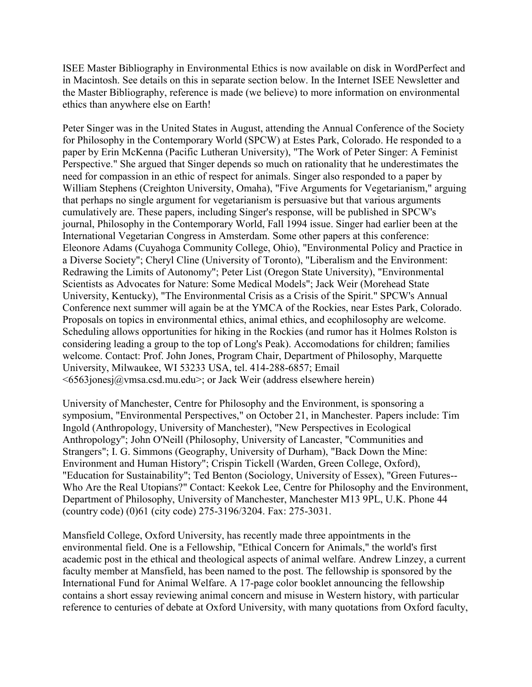ISEE Master Bibliography in Environmental Ethics is now available on disk in WordPerfect and in Macintosh. See details on this in separate section below. In the Internet ISEE Newsletter and the Master Bibliography, reference is made (we believe) to more information on environmental ethics than anywhere else on Earth!

Peter Singer was in the United States in August, attending the Annual Conference of the Society for Philosophy in the Contemporary World (SPCW) at Estes Park, Colorado. He responded to a paper by Erin McKenna (Pacific Lutheran University), "The Work of Peter Singer: A Feminist Perspective." She argued that Singer depends so much on rationality that he underestimates the need for compassion in an ethic of respect for animals. Singer also responded to a paper by William Stephens (Creighton University, Omaha), "Five Arguments for Vegetarianism," arguing that perhaps no single argument for vegetarianism is persuasive but that various arguments cumulatively are. These papers, including Singer's response, will be published in SPCW's journal, Philosophy in the Contemporary World, Fall 1994 issue. Singer had earlier been at the International Vegetarian Congress in Amsterdam. Some other papers at this conference: Eleonore Adams (Cuyahoga Community College, Ohio), "Environmental Policy and Practice in a Diverse Society"; Cheryl Cline (University of Toronto), "Liberalism and the Environment: Redrawing the Limits of Autonomy"; Peter List (Oregon State University), "Environmental Scientists as Advocates for Nature: Some Medical Models"; Jack Weir (Morehead State University, Kentucky), "The Environmental Crisis as a Crisis of the Spirit." SPCW's Annual Conference next summer will again be at the YMCA of the Rockies, near Estes Park, Colorado. Proposals on topics in environmental ethics, animal ethics, and ecophilosophy are welcome. Scheduling allows opportunities for hiking in the Rockies (and rumor has it Holmes Rolston is considering leading a group to the top of Long's Peak). Accomodations for children; families welcome. Contact: Prof. John Jones, Program Chair, Department of Philosophy, Marquette University, Milwaukee, WI 53233 USA, tel. 414-288-6857; Email  $\leq 6563$ jonesj $\omega$ ymsa.csd.mu.edu>; or Jack Weir (address elsewhere herein)

University of Manchester, Centre for Philosophy and the Environment, is sponsoring a symposium, "Environmental Perspectives," on October 21, in Manchester. Papers include: Tim Ingold (Anthropology, University of Manchester), "New Perspectives in Ecological Anthropology"; John O'Neill (Philosophy, University of Lancaster, "Communities and Strangers"; I. G. Simmons (Geography, University of Durham), "Back Down the Mine: Environment and Human History"; Crispin Tickell (Warden, Green College, Oxford), "Education for Sustainability"; Ted Benton (Sociology, University of Essex), "Green Futures-- Who Are the Real Utopians?" Contact: Keekok Lee, Centre for Philosophy and the Environment, Department of Philosophy, University of Manchester, Manchester M13 9PL, U.K. Phone 44 (country code) (0)61 (city code) 275-3196/3204. Fax: 275-3031.

Mansfield College, Oxford University, has recently made three appointments in the environmental field. One is a Fellowship, "Ethical Concern for Animals," the world's first academic post in the ethical and theological aspects of animal welfare. Andrew Linzey, a current faculty member at Mansfield, has been named to the post. The fellowship is sponsored by the International Fund for Animal Welfare. A 17-page color booklet announcing the fellowship contains a short essay reviewing animal concern and misuse in Western history, with particular reference to centuries of debate at Oxford University, with many quotations from Oxford faculty,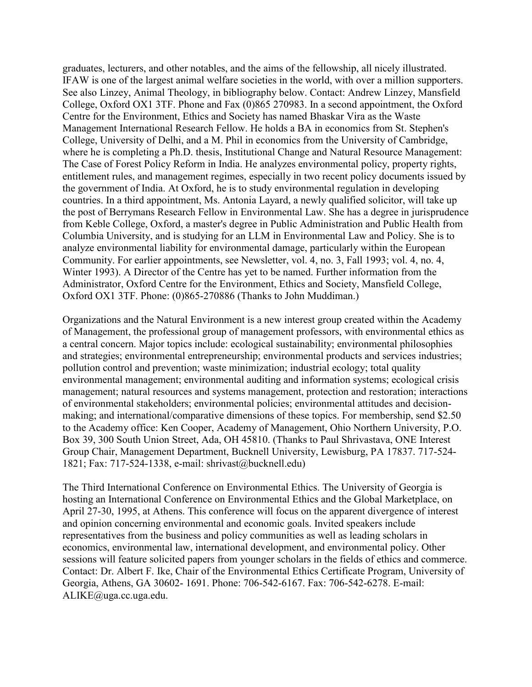graduates, lecturers, and other notables, and the aims of the fellowship, all nicely illustrated. IFAW is one of the largest animal welfare societies in the world, with over a million supporters. See also Linzey, Animal Theology, in bibliography below. Contact: Andrew Linzey, Mansfield College, Oxford OX1 3TF. Phone and Fax (0)865 270983. In a second appointment, the Oxford Centre for the Environment, Ethics and Society has named Bhaskar Vira as the Waste Management International Research Fellow. He holds a BA in economics from St. Stephen's College, University of Delhi, and a M. Phil in economics from the University of Cambridge, where he is completing a Ph.D. thesis, Institutional Change and Natural Resource Management: The Case of Forest Policy Reform in India. He analyzes environmental policy, property rights, entitlement rules, and management regimes, especially in two recent policy documents issued by the government of India. At Oxford, he is to study environmental regulation in developing countries. In a third appointment, Ms. Antonia Layard, a newly qualified solicitor, will take up the post of Berrymans Research Fellow in Environmental Law. She has a degree in jurisprudence from Keble College, Oxford, a master's degree in Public Administration and Public Health from Columbia University, and is studying for an LLM in Environmental Law and Policy. She is to analyze environmental liability for environmental damage, particularly within the European Community. For earlier appointments, see Newsletter, vol. 4, no. 3, Fall 1993; vol. 4, no. 4, Winter 1993). A Director of the Centre has yet to be named. Further information from the Administrator, Oxford Centre for the Environment, Ethics and Society, Mansfield College, Oxford OX1 3TF. Phone: (0)865-270886 (Thanks to John Muddiman.)

Organizations and the Natural Environment is a new interest group created within the Academy of Management, the professional group of management professors, with environmental ethics as a central concern. Major topics include: ecological sustainability; environmental philosophies and strategies; environmental entrepreneurship; environmental products and services industries; pollution control and prevention; waste minimization; industrial ecology; total quality environmental management; environmental auditing and information systems; ecological crisis management; natural resources and systems management, protection and restoration; interactions of environmental stakeholders; environmental policies; environmental attitudes and decisionmaking; and international/comparative dimensions of these topics. For membership, send \$2.50 to the Academy office: Ken Cooper, Academy of Management, Ohio Northern University, P.O. Box 39, 300 South Union Street, Ada, OH 45810. (Thanks to Paul Shrivastava, ONE Interest Group Chair, Management Department, Bucknell University, Lewisburg, PA 17837. 717-524- 1821; Fax: 717-524-1338, e-mail: shrivast@bucknell.edu)

The Third International Conference on Environmental Ethics. The University of Georgia is hosting an International Conference on Environmental Ethics and the Global Marketplace, on April 27-30, 1995, at Athens. This conference will focus on the apparent divergence of interest and opinion concerning environmental and economic goals. Invited speakers include representatives from the business and policy communities as well as leading scholars in economics, environmental law, international development, and environmental policy. Other sessions will feature solicited papers from younger scholars in the fields of ethics and commerce. Contact: Dr. Albert F. Ike, Chair of the Environmental Ethics Certificate Program, University of Georgia, Athens, GA 30602- 1691. Phone: 706-542-6167. Fax: 706-542-6278. E-mail: ALIKE@uga.cc.uga.edu.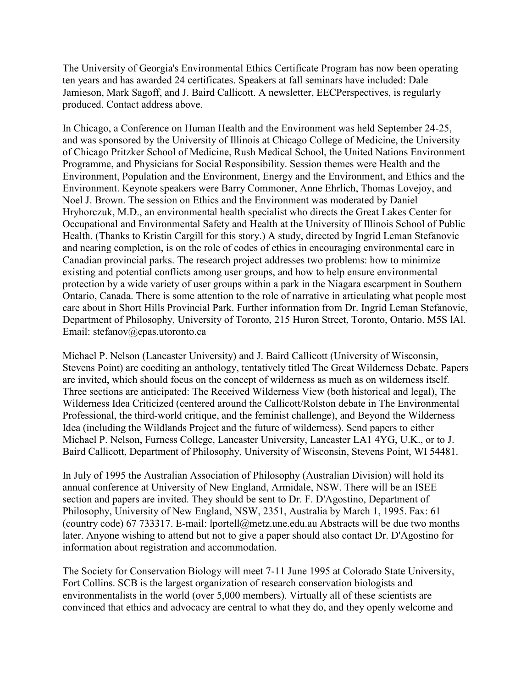The University of Georgia's Environmental Ethics Certificate Program has now been operating ten years and has awarded 24 certificates. Speakers at fall seminars have included: Dale Jamieson, Mark Sagoff, and J. Baird Callicott. A newsletter, EECPerspectives, is regularly produced. Contact address above.

In Chicago, a Conference on Human Health and the Environment was held September 24-25, and was sponsored by the University of Illinois at Chicago College of Medicine, the University of Chicago Pritzker School of Medicine, Rush Medical School, the United Nations Environment Programme, and Physicians for Social Responsibility. Session themes were Health and the Environment, Population and the Environment, Energy and the Environment, and Ethics and the Environment. Keynote speakers were Barry Commoner, Anne Ehrlich, Thomas Lovejoy, and Noel J. Brown. The session on Ethics and the Environment was moderated by Daniel Hryhorczuk, M.D., an environmental health specialist who directs the Great Lakes Center for Occupational and Environmental Safety and Health at the University of Illinois School of Public Health. (Thanks to Kristin Cargill for this story.) A study, directed by Ingrid Leman Stefanovic and nearing completion, is on the role of codes of ethics in encouraging environmental care in Canadian provincial parks. The research project addresses two problems: how to minimize existing and potential conflicts among user groups, and how to help ensure environmental protection by a wide variety of user groups within a park in the Niagara escarpment in Southern Ontario, Canada. There is some attention to the role of narrative in articulating what people most care about in Short Hills Provincial Park. Further information from Dr. Ingrid Leman Stefanovic, Department of Philosophy, University of Toronto, 215 Huron Street, Toronto, Ontario. M5S lAl. Email: stefanov@epas.utoronto.ca

Michael P. Nelson (Lancaster University) and J. Baird Callicott (University of Wisconsin, Stevens Point) are coediting an anthology, tentatively titled The Great Wilderness Debate. Papers are invited, which should focus on the concept of wilderness as much as on wilderness itself. Three sections are anticipated: The Received Wilderness View (both historical and legal), The Wilderness Idea Criticized (centered around the Callicott/Rolston debate in The Environmental Professional, the third-world critique, and the feminist challenge), and Beyond the Wilderness Idea (including the Wildlands Project and the future of wilderness). Send papers to either Michael P. Nelson, Furness College, Lancaster University, Lancaster LA1 4YG, U.K., or to J. Baird Callicott, Department of Philosophy, University of Wisconsin, Stevens Point, WI 54481.

In July of 1995 the Australian Association of Philosophy (Australian Division) will hold its annual conference at University of New England, Armidale, NSW. There will be an ISEE section and papers are invited. They should be sent to Dr. F. D'Agostino, Department of Philosophy, University of New England, NSW, 2351, Australia by March 1, 1995. Fax: 61 (country code) 67 733317. E-mail: lportell@metz.une.edu.au Abstracts will be due two months later. Anyone wishing to attend but not to give a paper should also contact Dr. D'Agostino for information about registration and accommodation.

The Society for Conservation Biology will meet 7-11 June 1995 at Colorado State University, Fort Collins. SCB is the largest organization of research conservation biologists and environmentalists in the world (over 5,000 members). Virtually all of these scientists are convinced that ethics and advocacy are central to what they do, and they openly welcome and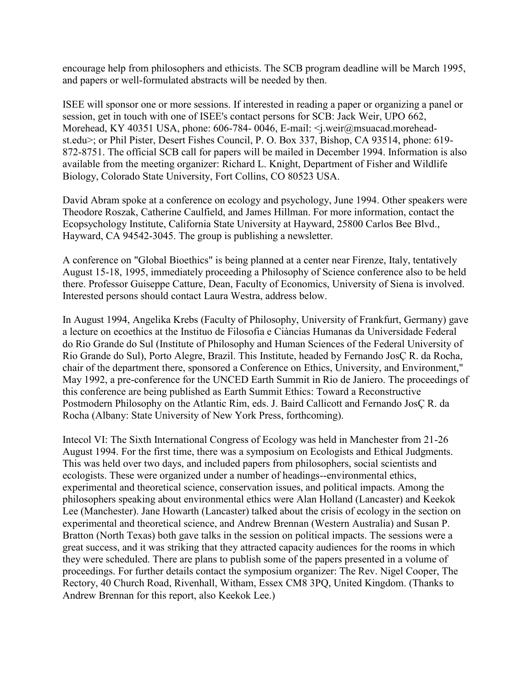encourage help from philosophers and ethicists. The SCB program deadline will be March 1995, and papers or well-formulated abstracts will be needed by then.

ISEE will sponsor one or more sessions. If interested in reading a paper or organizing a panel or session, get in touch with one of ISEE's contact persons for SCB: Jack Weir, UPO 662, Morehead, KY 40351 USA, phone: 606-784-0046, E-mail: < j.weir@msuacad.moreheadst.edu>; or Phil Pister, Desert Fishes Council, P. O. Box 337, Bishop, CA 93514, phone: 619- 872-8751. The official SCB call for papers will be mailed in December 1994. Information is also available from the meeting organizer: Richard L. Knight, Department of Fisher and Wildlife Biology, Colorado State University, Fort Collins, CO 80523 USA.

David Abram spoke at a conference on ecology and psychology, June 1994. Other speakers were Theodore Roszak, Catherine Caulfield, and James Hillman. For more information, contact the Ecopsychology Institute, California State University at Hayward, 25800 Carlos Bee Blvd., Hayward, CA 94542-3045. The group is publishing a newsletter.

A conference on "Global Bioethics" is being planned at a center near Firenze, Italy, tentatively August 15-18, 1995, immediately proceeding a Philosophy of Science conference also to be held there. Professor Guiseppe Catture, Dean, Faculty of Economics, University of Siena is involved. Interested persons should contact Laura Westra, address below.

In August 1994, Angelika Krebs (Faculty of Philosophy, University of Frankfurt, Germany) gave a lecture on ecoethics at the Instituo de Filosofia e Ciàncias Humanas da Universidade Federal do Rio Grande do Sul (Institute of Philosophy and Human Sciences of the Federal University of Rio Grande do Sul), Porto Alegre, Brazil. This Institute, headed by Fernando JosÇ R. da Rocha, chair of the department there, sponsored a Conference on Ethics, University, and Environment," May 1992, a pre-conference for the UNCED Earth Summit in Rio de Janiero. The proceedings of this conference are being published as Earth Summit Ethics: Toward a Reconstructive Postmodern Philosophy on the Atlantic Rim, eds. J. Baird Callicott and Fernando JosÇ R. da Rocha (Albany: State University of New York Press, forthcoming).

Intecol VI: The Sixth International Congress of Ecology was held in Manchester from 21-26 August 1994. For the first time, there was a symposium on Ecologists and Ethical Judgments. This was held over two days, and included papers from philosophers, social scientists and ecologists. These were organized under a number of headings--environmental ethics, experimental and theoretical science, conservation issues, and political impacts. Among the philosophers speaking about environmental ethics were Alan Holland (Lancaster) and Keekok Lee (Manchester). Jane Howarth (Lancaster) talked about the crisis of ecology in the section on experimental and theoretical science, and Andrew Brennan (Western Australia) and Susan P. Bratton (North Texas) both gave talks in the session on political impacts. The sessions were a great success, and it was striking that they attracted capacity audiences for the rooms in which they were scheduled. There are plans to publish some of the papers presented in a volume of proceedings. For further details contact the symposium organizer: The Rev. Nigel Cooper, The Rectory, 40 Church Road, Rivenhall, Witham, Essex CM8 3PQ, United Kingdom. (Thanks to Andrew Brennan for this report, also Keekok Lee.)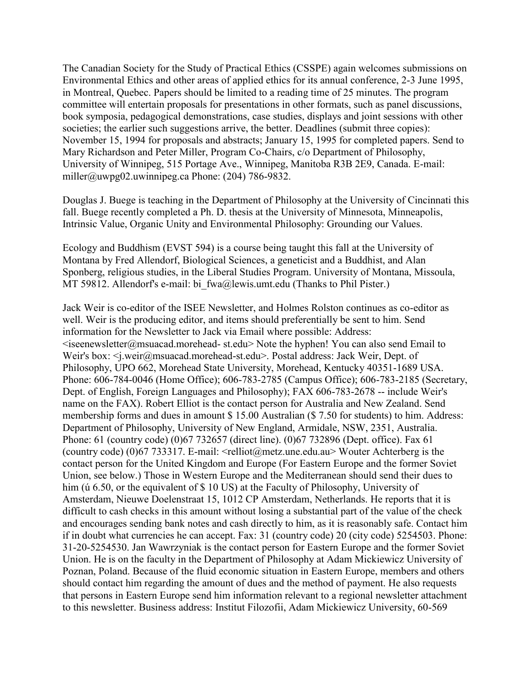The Canadian Society for the Study of Practical Ethics (CSSPE) again welcomes submissions on Environmental Ethics and other areas of applied ethics for its annual conference, 2-3 June 1995, in Montreal, Quebec. Papers should be limited to a reading time of 25 minutes. The program committee will entertain proposals for presentations in other formats, such as panel discussions, book symposia, pedagogical demonstrations, case studies, displays and joint sessions with other societies; the earlier such suggestions arrive, the better. Deadlines (submit three copies): November 15, 1994 for proposals and abstracts; January 15, 1995 for completed papers. Send to Mary Richardson and Peter Miller, Program Co-Chairs, c/o Department of Philosophy, University of Winnipeg, 515 Portage Ave., Winnipeg, Manitoba R3B 2E9, Canada. E-mail: miller@uwpg02.uwinnipeg.ca Phone: (204) 786-9832.

Douglas J. Buege is teaching in the Department of Philosophy at the University of Cincinnati this fall. Buege recently completed a Ph. D. thesis at the University of Minnesota, Minneapolis, Intrinsic Value, Organic Unity and Environmental Philosophy: Grounding our Values.

Ecology and Buddhism (EVST 594) is a course being taught this fall at the University of Montana by Fred Allendorf, Biological Sciences, a geneticist and a Buddhist, and Alan Sponberg, religious studies, in the Liberal Studies Program. University of Montana, Missoula, MT 59812. Allendorf's e-mail: bi fwa@lewis.umt.edu (Thanks to Phil Pister.)

Jack Weir is co-editor of the ISEE Newsletter, and Holmes Rolston continues as co-editor as well. Weir is the producing editor, and items should preferentially be sent to him. Send information for the Newsletter to Jack via Email where possible: Address:  $\leq$ iseenewsletter@msuacad.morehead- st.edu> Note the hyphen! You can also send Email to Weir's box: <j.weir@msuacad.morehead-st.edu>. Postal address: Jack Weir, Dept. of Philosophy, UPO 662, Morehead State University, Morehead, Kentucky 40351-1689 USA. Phone: 606-784-0046 (Home Office); 606-783-2785 (Campus Office); 606-783-2185 (Secretary, Dept. of English, Foreign Languages and Philosophy); FAX 606-783-2678 -- include Weir's name on the FAX). Robert Elliot is the contact person for Australia and New Zealand. Send membership forms and dues in amount \$ 15.00 Australian (\$ 7.50 for students) to him. Address: Department of Philosophy, University of New England, Armidale, NSW, 2351, Australia. Phone: 61 (country code) (0)67 732657 (direct line). (0)67 732896 (Dept. office). Fax 61 (country code) (0)67 733317. E-mail: <relliot@metz.une.edu.au> Wouter Achterberg is the contact person for the United Kingdom and Europe (For Eastern Europe and the former Soviet Union, see below.) Those in Western Europe and the Mediterranean should send their dues to him (ú 6.50, or the equivalent of \$ 10 US) at the Faculty of Philosophy, University of Amsterdam, Nieuwe Doelenstraat 15, 1012 CP Amsterdam, Netherlands. He reports that it is difficult to cash checks in this amount without losing a substantial part of the value of the check and encourages sending bank notes and cash directly to him, as it is reasonably safe. Contact him if in doubt what currencies he can accept. Fax: 31 (country code) 20 (city code) 5254503. Phone: 31-20-5254530. Jan Wawrzyniak is the contact person for Eastern Europe and the former Soviet Union. He is on the faculty in the Department of Philosophy at Adam Mickiewicz University of Poznan, Poland. Because of the fluid economic situation in Eastern Europe, members and others should contact him regarding the amount of dues and the method of payment. He also requests that persons in Eastern Europe send him information relevant to a regional newsletter attachment to this newsletter. Business address: Institut Filozofii, Adam Mickiewicz University, 60-569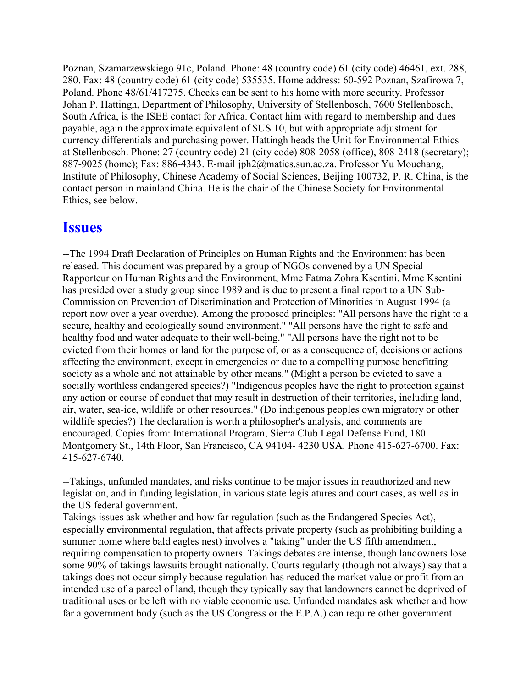Poznan, Szamarzewskiego 91c, Poland. Phone: 48 (country code) 61 (city code) 46461, ext. 288, 280. Fax: 48 (country code) 61 (city code) 535535. Home address: 60-592 Poznan, Szafirowa 7, Poland. Phone 48/61/417275. Checks can be sent to his home with more security. Professor Johan P. Hattingh, Department of Philosophy, University of Stellenbosch, 7600 Stellenbosch, South Africa, is the ISEE contact for Africa. Contact him with regard to membership and dues payable, again the approximate equivalent of \$US 10, but with appropriate adjustment for currency differentials and purchasing power. Hattingh heads the Unit for Environmental Ethics at Stellenbosch. Phone: 27 (country code) 21 (city code) 808-2058 (office), 808-2418 (secretary); 887-9025 (home); Fax: 886-4343. E-mail jph2@maties.sun.ac.za. Professor Yu Mouchang, Institute of Philosophy, Chinese Academy of Social Sciences, Beijing 100732, P. R. China, is the contact person in mainland China. He is the chair of the Chinese Society for Environmental Ethics, see below.

### **Issues**

--The 1994 Draft Declaration of Principles on Human Rights and the Environment has been released. This document was prepared by a group of NGOs convened by a UN Special Rapporteur on Human Rights and the Environment, Mme Fatma Zohra Ksentini. Mme Ksentini has presided over a study group since 1989 and is due to present a final report to a UN Sub-Commission on Prevention of Discrimination and Protection of Minorities in August 1994 (a report now over a year overdue). Among the proposed principles: "All persons have the right to a secure, healthy and ecologically sound environment." "All persons have the right to safe and healthy food and water adequate to their well-being." "All persons have the right not to be evicted from their homes or land for the purpose of, or as a consequence of, decisions or actions affecting the environment, except in emergencies or due to a compelling purpose benefitting society as a whole and not attainable by other means." (Might a person be evicted to save a socially worthless endangered species?) "Indigenous peoples have the right to protection against any action or course of conduct that may result in destruction of their territories, including land, air, water, sea-ice, wildlife or other resources." (Do indigenous peoples own migratory or other wildlife species?) The declaration is worth a philosopher's analysis, and comments are encouraged. Copies from: International Program, Sierra Club Legal Defense Fund, 180 Montgomery St., 14th Floor, San Francisco, CA 94104- 4230 USA. Phone 415-627-6700. Fax: 415-627-6740.

--Takings, unfunded mandates, and risks continue to be major issues in reauthorized and new legislation, and in funding legislation, in various state legislatures and court cases, as well as in the US federal government.

Takings issues ask whether and how far regulation (such as the Endangered Species Act), especially environmental regulation, that affects private property (such as prohibiting building a summer home where bald eagles nest) involves a "taking" under the US fifth amendment, requiring compensation to property owners. Takings debates are intense, though landowners lose some 90% of takings lawsuits brought nationally. Courts regularly (though not always) say that a takings does not occur simply because regulation has reduced the market value or profit from an intended use of a parcel of land, though they typically say that landowners cannot be deprived of traditional uses or be left with no viable economic use. Unfunded mandates ask whether and how far a government body (such as the US Congress or the E.P.A.) can require other government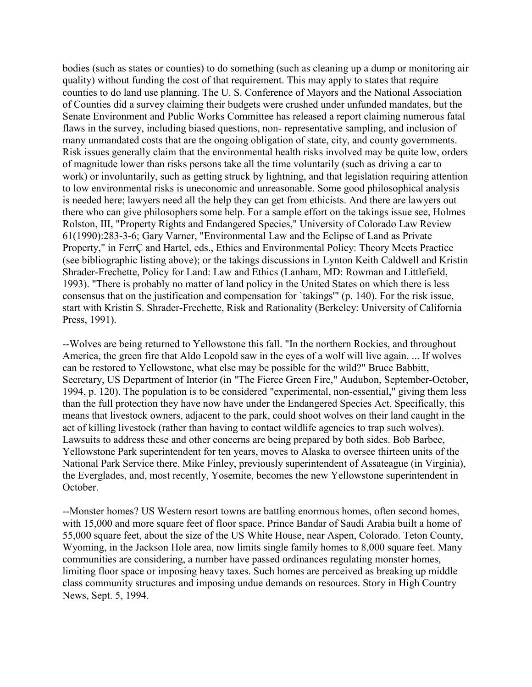bodies (such as states or counties) to do something (such as cleaning up a dump or monitoring air quality) without funding the cost of that requirement. This may apply to states that require counties to do land use planning. The U. S. Conference of Mayors and the National Association of Counties did a survey claiming their budgets were crushed under unfunded mandates, but the Senate Environment and Public Works Committee has released a report claiming numerous fatal flaws in the survey, including biased questions, non- representative sampling, and inclusion of many unmandated costs that are the ongoing obligation of state, city, and county governments. Risk issues generally claim that the environmental health risks involved may be quite low, orders of magnitude lower than risks persons take all the time voluntarily (such as driving a car to work) or involuntarily, such as getting struck by lightning, and that legislation requiring attention to low environmental risks is uneconomic and unreasonable. Some good philosophical analysis is needed here; lawyers need all the help they can get from ethicists. And there are lawyers out there who can give philosophers some help. For a sample effort on the takings issue see, Holmes Rolston, III, "Property Rights and Endangered Species," University of Colorado Law Review 61(1990):283-3-6; Gary Varner, "Environmental Law and the Eclipse of Land as Private Property," in FerrÇ and Hartel, eds., Ethics and Environmental Policy: Theory Meets Practice (see bibliographic listing above); or the takings discussions in Lynton Keith Caldwell and Kristin Shrader-Frechette, Policy for Land: Law and Ethics (Lanham, MD: Rowman and Littlefield, 1993). "There is probably no matter of land policy in the United States on which there is less consensus that on the justification and compensation for `takings'" (p. 140). For the risk issue, start with Kristin S. Shrader-Frechette, Risk and Rationality (Berkeley: University of California Press, 1991).

--Wolves are being returned to Yellowstone this fall. "In the northern Rockies, and throughout America, the green fire that Aldo Leopold saw in the eyes of a wolf will live again. ... If wolves can be restored to Yellowstone, what else may be possible for the wild?" Bruce Babbitt, Secretary, US Department of Interior (in "The Fierce Green Fire," Audubon, September-October, 1994, p. 120). The population is to be considered "experimental, non-essential," giving them less than the full protection they have now have under the Endangered Species Act. Specifically, this means that livestock owners, adjacent to the park, could shoot wolves on their land caught in the act of killing livestock (rather than having to contact wildlife agencies to trap such wolves). Lawsuits to address these and other concerns are being prepared by both sides. Bob Barbee, Yellowstone Park superintendent for ten years, moves to Alaska to oversee thirteen units of the National Park Service there. Mike Finley, previously superintendent of Assateague (in Virginia), the Everglades, and, most recently, Yosemite, becomes the new Yellowstone superintendent in October.

--Monster homes? US Western resort towns are battling enormous homes, often second homes, with 15,000 and more square feet of floor space. Prince Bandar of Saudi Arabia built a home of 55,000 square feet, about the size of the US White House, near Aspen, Colorado. Teton County, Wyoming, in the Jackson Hole area, now limits single family homes to 8,000 square feet. Many communities are considering, a number have passed ordinances regulating monster homes, limiting floor space or imposing heavy taxes. Such homes are perceived as breaking up middle class community structures and imposing undue demands on resources. Story in High Country News, Sept. 5, 1994.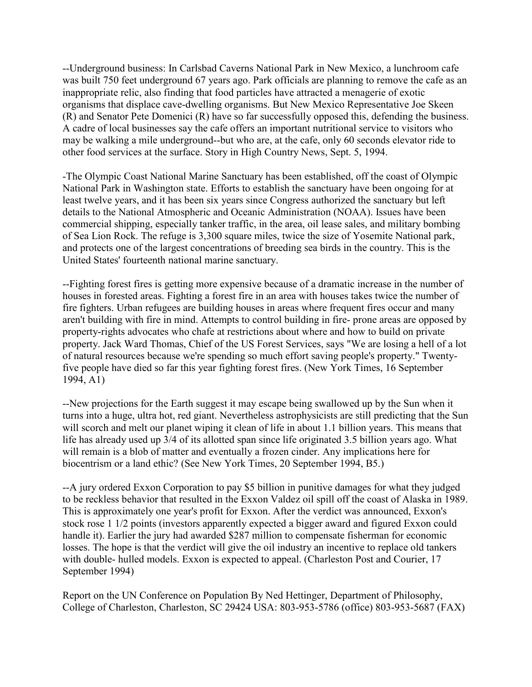--Underground business: In Carlsbad Caverns National Park in New Mexico, a lunchroom cafe was built 750 feet underground 67 years ago. Park officials are planning to remove the cafe as an inappropriate relic, also finding that food particles have attracted a menagerie of exotic organisms that displace cave-dwelling organisms. But New Mexico Representative Joe Skeen (R) and Senator Pete Domenici (R) have so far successfully opposed this, defending the business. A cadre of local businesses say the cafe offers an important nutritional service to visitors who may be walking a mile underground--but who are, at the cafe, only 60 seconds elevator ride to other food services at the surface. Story in High Country News, Sept. 5, 1994.

-The Olympic Coast National Marine Sanctuary has been established, off the coast of Olympic National Park in Washington state. Efforts to establish the sanctuary have been ongoing for at least twelve years, and it has been six years since Congress authorized the sanctuary but left details to the National Atmospheric and Oceanic Administration (NOAA). Issues have been commercial shipping, especially tanker traffic, in the area, oil lease sales, and military bombing of Sea Lion Rock. The refuge is 3,300 square miles, twice the size of Yosemite National park, and protects one of the largest concentrations of breeding sea birds in the country. This is the United States' fourteenth national marine sanctuary.

--Fighting forest fires is getting more expensive because of a dramatic increase in the number of houses in forested areas. Fighting a forest fire in an area with houses takes twice the number of fire fighters. Urban refugees are building houses in areas where frequent fires occur and many aren't building with fire in mind. Attempts to control building in fire- prone areas are opposed by property-rights advocates who chafe at restrictions about where and how to build on private property. Jack Ward Thomas, Chief of the US Forest Services, says "We are losing a hell of a lot of natural resources because we're spending so much effort saving people's property." Twentyfive people have died so far this year fighting forest fires. (New York Times, 16 September 1994, A1)

--New projections for the Earth suggest it may escape being swallowed up by the Sun when it turns into a huge, ultra hot, red giant. Nevertheless astrophysicists are still predicting that the Sun will scorch and melt our planet wiping it clean of life in about 1.1 billion years. This means that life has already used up 3/4 of its allotted span since life originated 3.5 billion years ago. What will remain is a blob of matter and eventually a frozen cinder. Any implications here for biocentrism or a land ethic? (See New York Times, 20 September 1994, B5.)

--A jury ordered Exxon Corporation to pay \$5 billion in punitive damages for what they judged to be reckless behavior that resulted in the Exxon Valdez oil spill off the coast of Alaska in 1989. This is approximately one year's profit for Exxon. After the verdict was announced, Exxon's stock rose 1 1/2 points (investors apparently expected a bigger award and figured Exxon could handle it). Earlier the jury had awarded \$287 million to compensate fisherman for economic losses. The hope is that the verdict will give the oil industry an incentive to replace old tankers with double- hulled models. Exxon is expected to appeal. (Charleston Post and Courier, 17 September 1994)

Report on the UN Conference on Population By Ned Hettinger, Department of Philosophy, College of Charleston, Charleston, SC 29424 USA: 803-953-5786 (office) 803-953-5687 (FAX)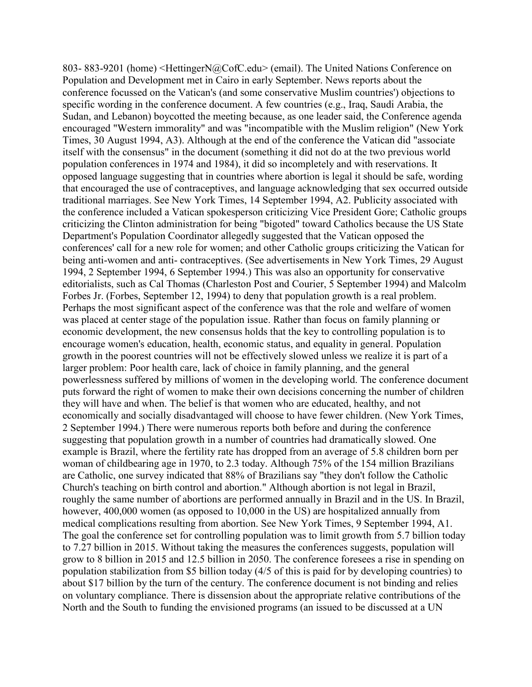803- 883-9201 (home) <HettingerN@CofC.edu> (email). The United Nations Conference on Population and Development met in Cairo in early September. News reports about the conference focussed on the Vatican's (and some conservative Muslim countries') objections to specific wording in the conference document. A few countries (e.g., Iraq, Saudi Arabia, the Sudan, and Lebanon) boycotted the meeting because, as one leader said, the Conference agenda encouraged "Western immorality" and was "incompatible with the Muslim religion" (New York Times, 30 August 1994, A3). Although at the end of the conference the Vatican did "associate itself with the consensus" in the document (something it did not do at the two previous world population conferences in 1974 and 1984), it did so incompletely and with reservations. It opposed language suggesting that in countries where abortion is legal it should be safe, wording that encouraged the use of contraceptives, and language acknowledging that sex occurred outside traditional marriages. See New York Times, 14 September 1994, A2. Publicity associated with the conference included a Vatican spokesperson criticizing Vice President Gore; Catholic groups criticizing the Clinton administration for being "bigoted" toward Catholics because the US State Department's Population Coordinator allegedly suggested that the Vatican opposed the conferences' call for a new role for women; and other Catholic groups criticizing the Vatican for being anti-women and anti- contraceptives. (See advertisements in New York Times, 29 August 1994, 2 September 1994, 6 September 1994.) This was also an opportunity for conservative editorialists, such as Cal Thomas (Charleston Post and Courier, 5 September 1994) and Malcolm Forbes Jr. (Forbes, September 12, 1994) to deny that population growth is a real problem. Perhaps the most significant aspect of the conference was that the role and welfare of women was placed at center stage of the population issue. Rather than focus on family planning or economic development, the new consensus holds that the key to controlling population is to encourage women's education, health, economic status, and equality in general. Population growth in the poorest countries will not be effectively slowed unless we realize it is part of a larger problem: Poor health care, lack of choice in family planning, and the general powerlessness suffered by millions of women in the developing world. The conference document puts forward the right of women to make their own decisions concerning the number of children they will have and when. The belief is that women who are educated, healthy, and not economically and socially disadvantaged will choose to have fewer children. (New York Times, 2 September 1994.) There were numerous reports both before and during the conference suggesting that population growth in a number of countries had dramatically slowed. One example is Brazil, where the fertility rate has dropped from an average of 5.8 children born per woman of childbearing age in 1970, to 2.3 today. Although 75% of the 154 million Brazilians are Catholic, one survey indicated that 88% of Brazilians say "they don't follow the Catholic Church's teaching on birth control and abortion." Although abortion is not legal in Brazil, roughly the same number of abortions are performed annually in Brazil and in the US. In Brazil, however, 400,000 women (as opposed to 10,000 in the US) are hospitalized annually from medical complications resulting from abortion. See New York Times, 9 September 1994, A1. The goal the conference set for controlling population was to limit growth from 5.7 billion today to 7.27 billion in 2015. Without taking the measures the conferences suggests, population will grow to 8 billion in 2015 and 12.5 billion in 2050. The conference foresees a rise in spending on population stabilization from \$5 billion today (4/5 of this is paid for by developing countries) to about \$17 billion by the turn of the century. The conference document is not binding and relies on voluntary compliance. There is dissension about the appropriate relative contributions of the North and the South to funding the envisioned programs (an issued to be discussed at a UN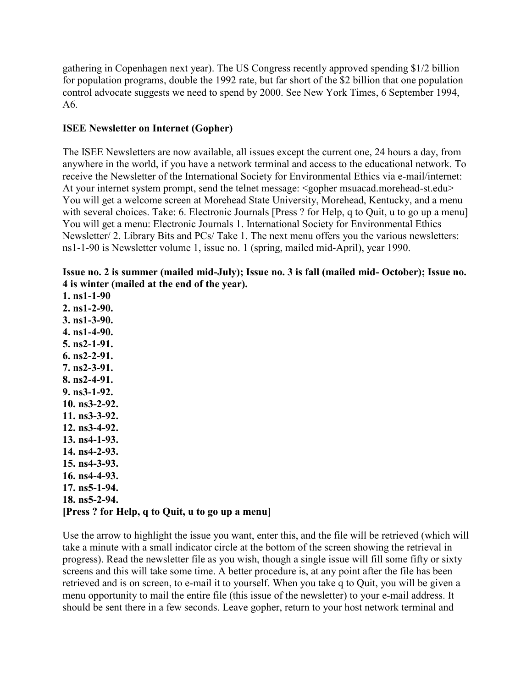gathering in Copenhagen next year). The US Congress recently approved spending \$1/2 billion for population programs, double the 1992 rate, but far short of the \$2 billion that one population control advocate suggests we need to spend by 2000. See New York Times, 6 September 1994, A6.

### **ISEE Newsletter on Internet (Gopher)**

The ISEE Newsletters are now available, all issues except the current one, 24 hours a day, from anywhere in the world, if you have a network terminal and access to the educational network. To receive the Newsletter of the International Society for Environmental Ethics via e-mail/internet: At your internet system prompt, send the telnet message: <gopher msuacad.morehead-st.edu> You will get a welcome screen at Morehead State University, Morehead, Kentucky, and a menu with several choices. Take: 6. Electronic Journals [Press? for Help, q to Quit, u to go up a menu] You will get a menu: Electronic Journals 1. International Society for Environmental Ethics Newsletter/ 2. Library Bits and PCs/ Take 1. The next menu offers you the various newsletters: ns1-1-90 is Newsletter volume 1, issue no. 1 (spring, mailed mid-April), year 1990.

#### **Issue no. 2 is summer (mailed mid-July); Issue no. 3 is fall (mailed mid- October); Issue no. 4 is winter (mailed at the end of the year).**

**1. ns1-1-90 2. ns1-2-90. 3. ns1-3-90. 4. ns1-4-90. 5. ns2-1-91. 6. ns2-2-91. 7. ns2-3-91. 8. ns2-4-91. 9. ns3-1-92. 10. ns3-2-92. 11. ns3-3-92. 12. ns3-4-92. 13. ns4-1-93. 14. ns4-2-93. 15. ns4-3-93. 16. ns4-4-93. 17. ns5-1-94. 18. ns5-2-94. [Press ? for Help, q to Quit, u to go up a menu]**

Use the arrow to highlight the issue you want, enter this, and the file will be retrieved (which will take a minute with a small indicator circle at the bottom of the screen showing the retrieval in progress). Read the newsletter file as you wish, though a single issue will fill some fifty or sixty screens and this will take some time. A better procedure is, at any point after the file has been retrieved and is on screen, to e-mail it to yourself. When you take q to Quit, you will be given a menu opportunity to mail the entire file (this issue of the newsletter) to your e-mail address. It should be sent there in a few seconds. Leave gopher, return to your host network terminal and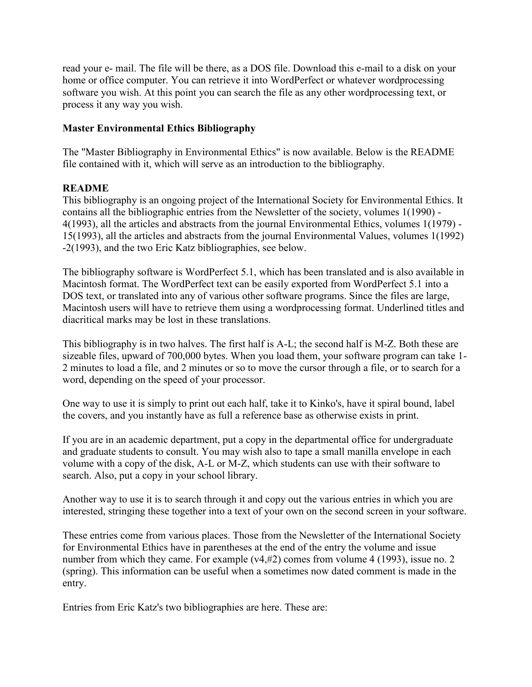read your e- mail. The file will be there, as a DOS file. Download this e-mail to a disk on your home or office computer. You can retrieve it into WordPerfect or whatever wordprocessing software you wish. At this point you can search the file as any other wordprocessing text, or process it any way you wish.

### **Master Environmental Ethics Bibliography**

The "Master Bibliography in Environmental Ethics" is now available. Below is the README file contained with it, which will serve as an introduction to the bibliography.

### **README**

This bibliography is an ongoing project of the International Society for Environmental Ethics. It contains all the bibliographic entries from the Newsletter of the society, volumes 1(1990) - 4(1993), all the articles and abstracts from the journal Environmental Ethics, volumes 1(1979) - 15(1993), all the articles and abstracts from the journal Environmental Values, volumes 1(1992) -2(1993), and the two Eric Katz bibliographies, see below.

The bibliography software is WordPerfect 5.1, which has been translated and is also available in Macintosh format. The WordPerfect text can be easily exported from WordPerfect 5.1 into a DOS text, or translated into any of various other software programs. Since the files are large, Macintosh users will have to retrieve them using a wordprocessing format. Underlined titles and diacritical marks may be lost in these translations.

This bibliography is in two halves. The first half is A-L; the second half is M-Z. Both these are sizeable files, upward of 700,000 bytes. When you load them, your software program can take 1- 2 minutes to load a file, and 2 minutes or so to move the cursor through a file, or to search for a word, depending on the speed of your processor.

One way to use it is simply to print out each half, take it to Kinko's, have it spiral bound, label the covers, and you instantly have as full a reference base as otherwise exists in print.

If you are in an academic department, put a copy in the departmental office for undergraduate and graduate students to consult. You may wish also to tape a small manilla envelope in each volume with a copy of the disk, A-L or M-Z, which students can use with their software to search. Also, put a copy in your school library.

Another way to use it is to search through it and copy out the various entries in which you are interested, stringing these together into a text of your own on the second screen in your software.

These entries come from various places. Those from the Newsletter of the International Society for Environmental Ethics have in parentheses at the end of the entry the volume and issue number from which they came. For example (v4,#2) comes from volume 4 (1993), issue no. 2 (spring). This information can be useful when a sometimes now dated comment is made in the entry.

Entries from Eric Katz's two bibliographies are here. These are: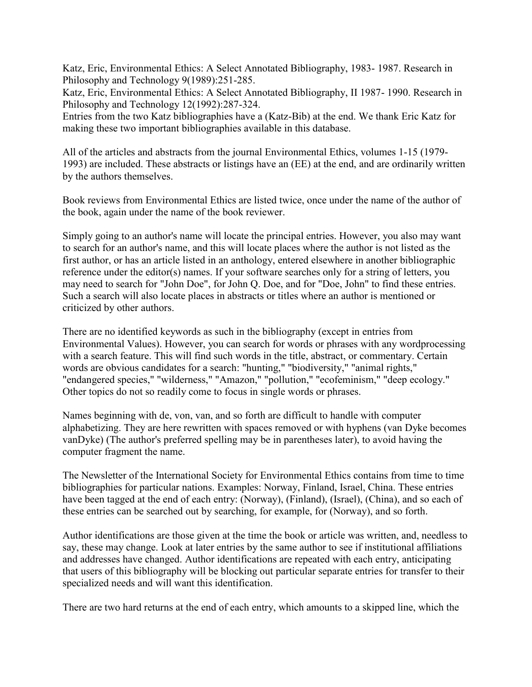Katz, Eric, Environmental Ethics: A Select Annotated Bibliography, 1983- 1987. Research in Philosophy and Technology 9(1989):251-285.

Katz, Eric, Environmental Ethics: A Select Annotated Bibliography, II 1987- 1990. Research in Philosophy and Technology 12(1992):287-324.

Entries from the two Katz bibliographies have a (Katz-Bib) at the end. We thank Eric Katz for making these two important bibliographies available in this database.

All of the articles and abstracts from the journal Environmental Ethics, volumes 1-15 (1979- 1993) are included. These abstracts or listings have an (EE) at the end, and are ordinarily written by the authors themselves.

Book reviews from Environmental Ethics are listed twice, once under the name of the author of the book, again under the name of the book reviewer.

Simply going to an author's name will locate the principal entries. However, you also may want to search for an author's name, and this will locate places where the author is not listed as the first author, or has an article listed in an anthology, entered elsewhere in another bibliographic reference under the editor(s) names. If your software searches only for a string of letters, you may need to search for "John Doe", for John Q. Doe, and for "Doe, John" to find these entries. Such a search will also locate places in abstracts or titles where an author is mentioned or criticized by other authors.

There are no identified keywords as such in the bibliography (except in entries from Environmental Values). However, you can search for words or phrases with any wordprocessing with a search feature. This will find such words in the title, abstract, or commentary. Certain words are obvious candidates for a search: "hunting," "biodiversity," "animal rights," "endangered species," "wilderness," "Amazon," "pollution," "ecofeminism," "deep ecology." Other topics do not so readily come to focus in single words or phrases.

Names beginning with de, von, van, and so forth are difficult to handle with computer alphabetizing. They are here rewritten with spaces removed or with hyphens (van Dyke becomes vanDyke) (The author's preferred spelling may be in parentheses later), to avoid having the computer fragment the name.

The Newsletter of the International Society for Environmental Ethics contains from time to time bibliographies for particular nations. Examples: Norway, Finland, Israel, China. These entries have been tagged at the end of each entry: (Norway), (Finland), (Israel), (China), and so each of these entries can be searched out by searching, for example, for (Norway), and so forth.

Author identifications are those given at the time the book or article was written, and, needless to say, these may change. Look at later entries by the same author to see if institutional affiliations and addresses have changed. Author identifications are repeated with each entry, anticipating that users of this bibliography will be blocking out particular separate entries for transfer to their specialized needs and will want this identification.

There are two hard returns at the end of each entry, which amounts to a skipped line, which the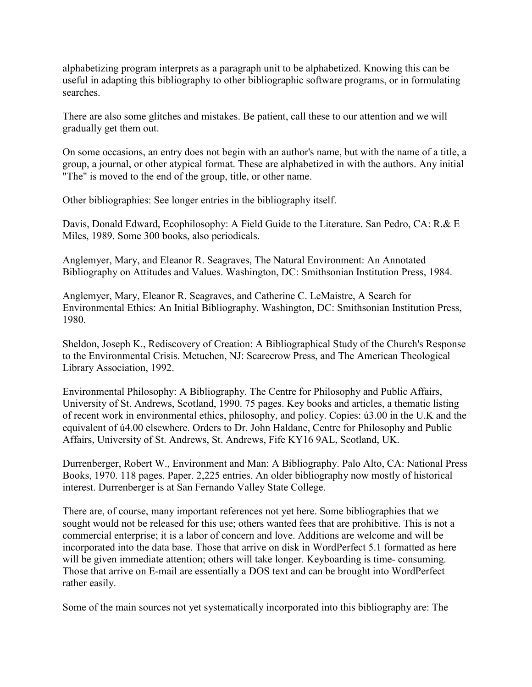alphabetizing program interprets as a paragraph unit to be alphabetized. Knowing this can be useful in adapting this bibliography to other bibliographic software programs, or in formulating searches.

There are also some glitches and mistakes. Be patient, call these to our attention and we will gradually get them out.

On some occasions, an entry does not begin with an author's name, but with the name of a title, a group, a journal, or other atypical format. These are alphabetized in with the authors. Any initial "The" is moved to the end of the group, title, or other name.

Other bibliographies: See longer entries in the bibliography itself.

Davis, Donald Edward, Ecophilosophy: A Field Guide to the Literature. San Pedro, CA: R.& E Miles, 1989. Some 300 books, also periodicals.

Anglemyer, Mary, and Eleanor R. Seagraves, The Natural Environment: An Annotated Bibliography on Attitudes and Values. Washington, DC: Smithsonian Institution Press, 1984.

Anglemyer, Mary, Eleanor R. Seagraves, and Catherine C. LeMaistre, A Search for Environmental Ethics: An Initial Bibliography. Washington, DC: Smithsonian Institution Press, 1980.

Sheldon, Joseph K., Rediscovery of Creation: A Bibliographical Study of the Church's Response to the Environmental Crisis. Metuchen, NJ: Scarecrow Press, and The American Theological Library Association, 1992.

Environmental Philosophy: A Bibliography. The Centre for Philosophy and Public Affairs, University of St. Andrews, Scotland, 1990. 75 pages. Key books and articles, a thematic listing of recent work in environmental ethics, philosophy, and policy. Copies: ú3.00 in the U.K and the equivalent of ú4.00 elsewhere. Orders to Dr. John Haldane, Centre for Philosophy and Public Affairs, University of St. Andrews, St. Andrews, Fife KY16 9AL, Scotland, UK.

Durrenberger, Robert W., Environment and Man: A Bibliography. Palo Alto, CA: National Press Books, 1970. 118 pages. Paper. 2,225 entries. An older bibliography now mostly of historical interest. Durrenberger is at San Fernando Valley State College.

There are, of course, many important references not yet here. Some bibliographies that we sought would not be released for this use; others wanted fees that are prohibitive. This is not a commercial enterprise; it is a labor of concern and love. Additions are welcome and will be incorporated into the data base. Those that arrive on disk in WordPerfect 5.1 formatted as here will be given immediate attention; others will take longer. Keyboarding is time-consuming. Those that arrive on E-mail are essentially a DOS text and can be brought into WordPerfect rather easily.

Some of the main sources not yet systematically incorporated into this bibliography are: The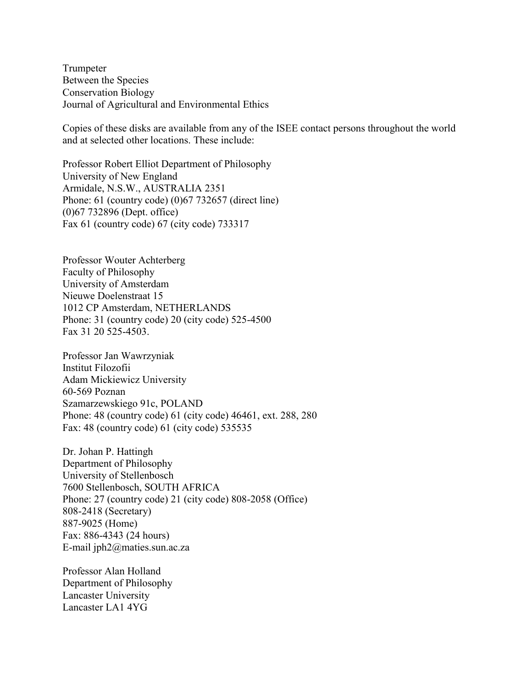Trumpeter Between the Species Conservation Biology Journal of Agricultural and Environmental Ethics

Copies of these disks are available from any of the ISEE contact persons throughout the world and at selected other locations. These include:

Professor Robert Elliot Department of Philosophy University of New England Armidale, N.S.W., AUSTRALIA 2351 Phone: 61 (country code) (0)67 732657 (direct line) (0)67 732896 (Dept. office) Fax 61 (country code) 67 (city code) 733317

Professor Wouter Achterberg Faculty of Philosophy University of Amsterdam Nieuwe Doelenstraat 15 1012 CP Amsterdam, NETHERLANDS Phone: 31 (country code) 20 (city code) 525-4500 Fax 31 20 525-4503.

Professor Jan Wawrzyniak Institut Filozofii Adam Mickiewicz University 60-569 Poznan Szamarzewskiego 91c, POLAND Phone: 48 (country code) 61 (city code) 46461, ext. 288, 280 Fax: 48 (country code) 61 (city code) 535535

Dr. Johan P. Hattingh Department of Philosophy University of Stellenbosch 7600 Stellenbosch, SOUTH AFRICA Phone: 27 (country code) 21 (city code) 808-2058 (Office) 808-2418 (Secretary) 887-9025 (Home) Fax: 886-4343 (24 hours) E-mail jph2@maties.sun.ac.za

Professor Alan Holland Department of Philosophy Lancaster University Lancaster LA1 4YG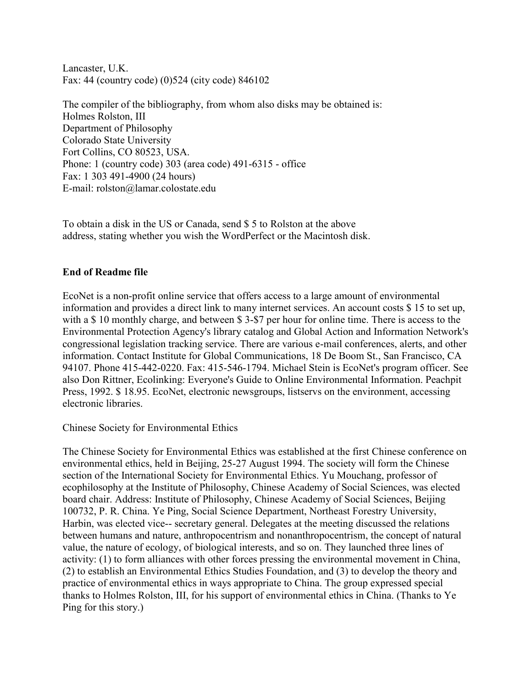Lancaster, U.K. Fax: 44 (country code) (0)524 (city code) 846102

The compiler of the bibliography, from whom also disks may be obtained is: Holmes Rolston, III Department of Philosophy Colorado State University Fort Collins, CO 80523, USA. Phone: 1 (country code) 303 (area code) 491-6315 - office Fax: 1 303 491-4900 (24 hours) E-mail: rolston@lamar.colostate.edu

To obtain a disk in the US or Canada, send \$ 5 to Rolston at the above address, stating whether you wish the WordPerfect or the Macintosh disk.

### **End of Readme file**

EcoNet is a non-profit online service that offers access to a large amount of environmental information and provides a direct link to many internet services. An account costs \$ 15 to set up, with a \$10 monthly charge, and between \$3-\$7 per hour for online time. There is access to the Environmental Protection Agency's library catalog and Global Action and Information Network's congressional legislation tracking service. There are various e-mail conferences, alerts, and other information. Contact Institute for Global Communications, 18 De Boom St., San Francisco, CA 94107. Phone 415-442-0220. Fax: 415-546-1794. Michael Stein is EcoNet's program officer. See also Don Rittner, Ecolinking: Everyone's Guide to Online Environmental Information. Peachpit Press, 1992. \$ 18.95. EcoNet, electronic newsgroups, listservs on the environment, accessing electronic libraries.

Chinese Society for Environmental Ethics

The Chinese Society for Environmental Ethics was established at the first Chinese conference on environmental ethics, held in Beijing, 25-27 August 1994. The society will form the Chinese section of the International Society for Environmental Ethics. Yu Mouchang, professor of ecophilosophy at the Institute of Philosophy, Chinese Academy of Social Sciences, was elected board chair. Address: Institute of Philosophy, Chinese Academy of Social Sciences, Beijing 100732, P. R. China. Ye Ping, Social Science Department, Northeast Forestry University, Harbin, was elected vice-- secretary general. Delegates at the meeting discussed the relations between humans and nature, anthropocentrism and nonanthropocentrism, the concept of natural value, the nature of ecology, of biological interests, and so on. They launched three lines of activity: (1) to form alliances with other forces pressing the environmental movement in China, (2) to establish an Environmental Ethics Studies Foundation, and (3) to develop the theory and practice of environmental ethics in ways appropriate to China. The group expressed special thanks to Holmes Rolston, III, for his support of environmental ethics in China. (Thanks to Ye Ping for this story.)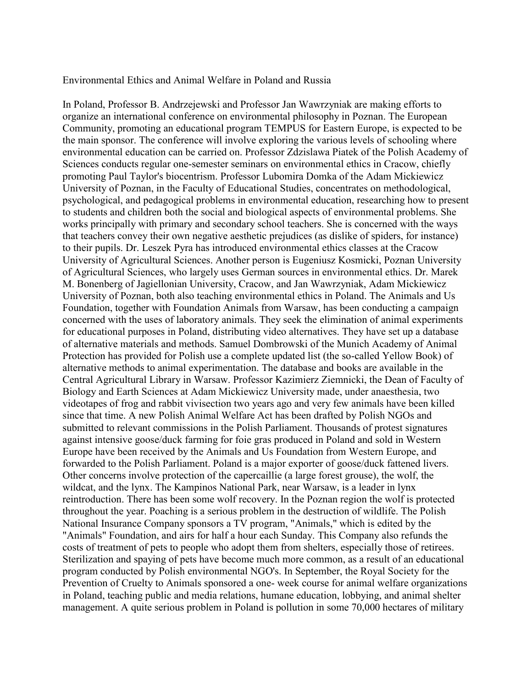Environmental Ethics and Animal Welfare in Poland and Russia

In Poland, Professor B. Andrzejewski and Professor Jan Wawrzyniak are making efforts to organize an international conference on environmental philosophy in Poznan. The European Community, promoting an educational program TEMPUS for Eastern Europe, is expected to be the main sponsor. The conference will involve exploring the various levels of schooling where environmental education can be carried on. Professor Zdzislawa Piatek of the Polish Academy of Sciences conducts regular one-semester seminars on environmental ethics in Cracow, chiefly promoting Paul Taylor's biocentrism. Professor Lubomira Domka of the Adam Mickiewicz University of Poznan, in the Faculty of Educational Studies, concentrates on methodological, psychological, and pedagogical problems in environmental education, researching how to present to students and children both the social and biological aspects of environmental problems. She works principally with primary and secondary school teachers. She is concerned with the ways that teachers convey their own negative aesthetic prejudices (as dislike of spiders, for instance) to their pupils. Dr. Leszek Pyra has introduced environmental ethics classes at the Cracow University of Agricultural Sciences. Another person is Eugeniusz Kosmicki, Poznan University of Agricultural Sciences, who largely uses German sources in environmental ethics. Dr. Marek M. Bonenberg of Jagiellonian University, Cracow, and Jan Wawrzyniak, Adam Mickiewicz University of Poznan, both also teaching environmental ethics in Poland. The Animals and Us Foundation, together with Foundation Animals from Warsaw, has been conducting a campaign concerned with the uses of laboratory animals. They seek the elimination of animal experiments for educational purposes in Poland, distributing video alternatives. They have set up a database of alternative materials and methods. Samuel Dombrowski of the Munich Academy of Animal Protection has provided for Polish use a complete updated list (the so-called Yellow Book) of alternative methods to animal experimentation. The database and books are available in the Central Agricultural Library in Warsaw. Professor Kazimierz Ziemnicki, the Dean of Faculty of Biology and Earth Sciences at Adam Mickiewicz University made, under anaesthesia, two videotapes of frog and rabbit vivisection two years ago and very few animals have been killed since that time. A new Polish Animal Welfare Act has been drafted by Polish NGOs and submitted to relevant commissions in the Polish Parliament. Thousands of protest signatures against intensive goose/duck farming for foie gras produced in Poland and sold in Western Europe have been received by the Animals and Us Foundation from Western Europe, and forwarded to the Polish Parliament. Poland is a major exporter of goose/duck fattened livers. Other concerns involve protection of the capercaillie (a large forest grouse), the wolf, the wildcat, and the lynx. The Kampinos National Park, near Warsaw, is a leader in lynx reintroduction. There has been some wolf recovery. In the Poznan region the wolf is protected throughout the year. Poaching is a serious problem in the destruction of wildlife. The Polish National Insurance Company sponsors a TV program, "Animals," which is edited by the "Animals" Foundation, and airs for half a hour each Sunday. This Company also refunds the costs of treatment of pets to people who adopt them from shelters, especially those of retirees. Sterilization and spaying of pets have become much more common, as a result of an educational program conducted by Polish environmental NGO's. In September, the Royal Society for the Prevention of Cruelty to Animals sponsored a one- week course for animal welfare organizations in Poland, teaching public and media relations, humane education, lobbying, and animal shelter management. A quite serious problem in Poland is pollution in some 70,000 hectares of military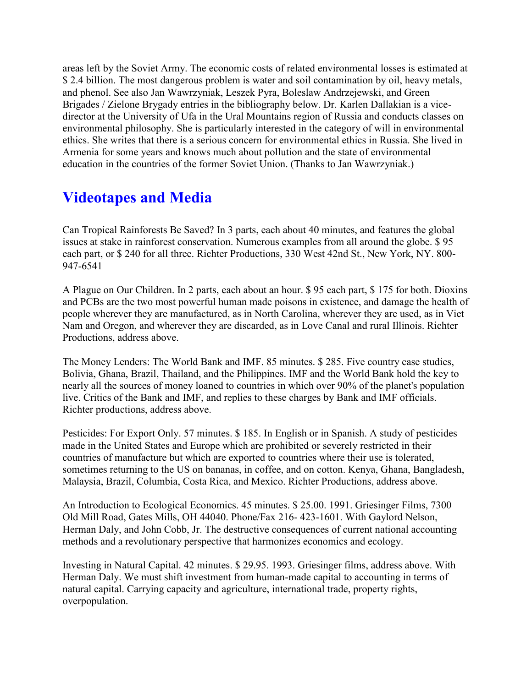areas left by the Soviet Army. The economic costs of related environmental losses is estimated at \$2.4 billion. The most dangerous problem is water and soil contamination by oil, heavy metals, and phenol. See also Jan Wawrzyniak, Leszek Pyra, Boleslaw Andrzejewski, and Green Brigades / Zielone Brygady entries in the bibliography below. Dr. Karlen Dallakian is a vicedirector at the University of Ufa in the Ural Mountains region of Russia and conducts classes on environmental philosophy. She is particularly interested in the category of will in environmental ethics. She writes that there is a serious concern for environmental ethics in Russia. She lived in Armenia for some years and knows much about pollution and the state of environmental education in the countries of the former Soviet Union. (Thanks to Jan Wawrzyniak.)

## **Videotapes and Media**

Can Tropical Rainforests Be Saved? In 3 parts, each about 40 minutes, and features the global issues at stake in rainforest conservation. Numerous examples from all around the globe. \$ 95 each part, or \$ 240 for all three. Richter Productions, 330 West 42nd St., New York, NY. 800- 947-6541

A Plague on Our Children. In 2 parts, each about an hour. \$ 95 each part, \$ 175 for both. Dioxins and PCBs are the two most powerful human made poisons in existence, and damage the health of people wherever they are manufactured, as in North Carolina, wherever they are used, as in Viet Nam and Oregon, and wherever they are discarded, as in Love Canal and rural Illinois. Richter Productions, address above.

The Money Lenders: The World Bank and IMF. 85 minutes. \$ 285. Five country case studies, Bolivia, Ghana, Brazil, Thailand, and the Philippines. IMF and the World Bank hold the key to nearly all the sources of money loaned to countries in which over 90% of the planet's population live. Critics of the Bank and IMF, and replies to these charges by Bank and IMF officials. Richter productions, address above.

Pesticides: For Export Only. 57 minutes. \$ 185. In English or in Spanish. A study of pesticides made in the United States and Europe which are prohibited or severely restricted in their countries of manufacture but which are exported to countries where their use is tolerated, sometimes returning to the US on bananas, in coffee, and on cotton. Kenya, Ghana, Bangladesh, Malaysia, Brazil, Columbia, Costa Rica, and Mexico. Richter Productions, address above.

An Introduction to Ecological Economics. 45 minutes. \$ 25.00. 1991. Griesinger Films, 7300 Old Mill Road, Gates Mills, OH 44040. Phone/Fax 216- 423-1601. With Gaylord Nelson, Herman Daly, and John Cobb, Jr. The destructive consequences of current national accounting methods and a revolutionary perspective that harmonizes economics and ecology.

Investing in Natural Capital. 42 minutes. \$ 29.95. 1993. Griesinger films, address above. With Herman Daly. We must shift investment from human-made capital to accounting in terms of natural capital. Carrying capacity and agriculture, international trade, property rights, overpopulation.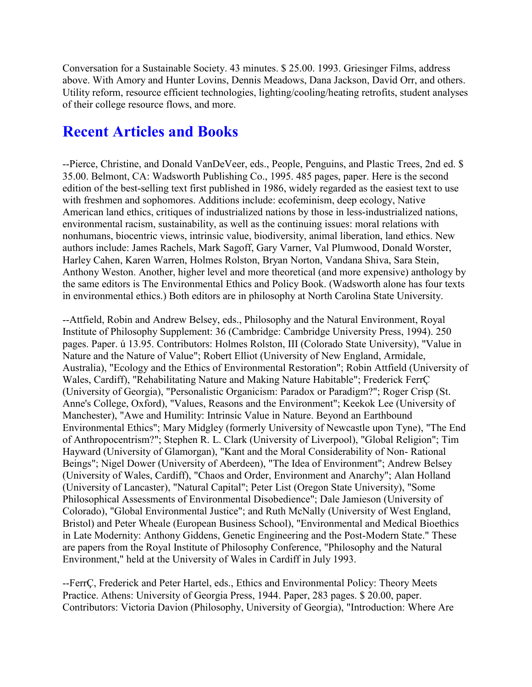Conversation for a Sustainable Society. 43 minutes. \$ 25.00. 1993. Griesinger Films, address above. With Amory and Hunter Lovins, Dennis Meadows, Dana Jackson, David Orr, and others. Utility reform, resource efficient technologies, lighting/cooling/heating retrofits, student analyses of their college resource flows, and more.

### **Recent Articles and Books**

--Pierce, Christine, and Donald VanDeVeer, eds., People, Penguins, and Plastic Trees, 2nd ed. \$ 35.00. Belmont, CA: Wadsworth Publishing Co., 1995. 485 pages, paper. Here is the second edition of the best-selling text first published in 1986, widely regarded as the easiest text to use with freshmen and sophomores. Additions include: ecofeminism, deep ecology, Native American land ethics, critiques of industrialized nations by those in less-industrialized nations, environmental racism, sustainability, as well as the continuing issues: moral relations with nonhumans, biocentric views, intrinsic value, biodiversity, animal liberation, land ethics. New authors include: James Rachels, Mark Sagoff, Gary Varner, Val Plumwood, Donald Worster, Harley Cahen, Karen Warren, Holmes Rolston, Bryan Norton, Vandana Shiva, Sara Stein, Anthony Weston. Another, higher level and more theoretical (and more expensive) anthology by the same editors is The Environmental Ethics and Policy Book. (Wadsworth alone has four texts in environmental ethics.) Both editors are in philosophy at North Carolina State University.

--Attfield, Robin and Andrew Belsey, eds., Philosophy and the Natural Environment, Royal Institute of Philosophy Supplement: 36 (Cambridge: Cambridge University Press, 1994). 250 pages. Paper. ú 13.95. Contributors: Holmes Rolston, III (Colorado State University), "Value in Nature and the Nature of Value"; Robert Elliot (University of New England, Armidale, Australia), "Ecology and the Ethics of Environmental Restoration"; Robin Attfield (University of Wales, Cardiff), "Rehabilitating Nature and Making Nature Habitable"; Frederick FerrÇ (University of Georgia), "Personalistic Organicism: Paradox or Paradigm?"; Roger Crisp (St. Anne's College, Oxford), "Values, Reasons and the Environment"; Keekok Lee (University of Manchester), "Awe and Humility: Intrinsic Value in Nature. Beyond an Earthbound Environmental Ethics"; Mary Midgley (formerly University of Newcastle upon Tyne), "The End of Anthropocentrism?"; Stephen R. L. Clark (University of Liverpool), "Global Religion"; Tim Hayward (University of Glamorgan), "Kant and the Moral Considerability of Non- Rational Beings"; Nigel Dower (University of Aberdeen), "The Idea of Environment"; Andrew Belsey (University of Wales, Cardiff), "Chaos and Order, Environment and Anarchy"; Alan Holland (University of Lancaster), "Natural Capital"; Peter List (Oregon State University), "Some Philosophical Assessments of Environmental Disobedience"; Dale Jamieson (University of Colorado), "Global Environmental Justice"; and Ruth McNally (University of West England, Bristol) and Peter Wheale (European Business School), "Environmental and Medical Bioethics in Late Modernity: Anthony Giddens, Genetic Engineering and the Post-Modern State." These are papers from the Royal Institute of Philosophy Conference, "Philosophy and the Natural Environment," held at the University of Wales in Cardiff in July 1993.

--FerrÇ, Frederick and Peter Hartel, eds., Ethics and Environmental Policy: Theory Meets Practice. Athens: University of Georgia Press, 1944. Paper, 283 pages. \$ 20.00, paper. Contributors: Victoria Davion (Philosophy, University of Georgia), "Introduction: Where Are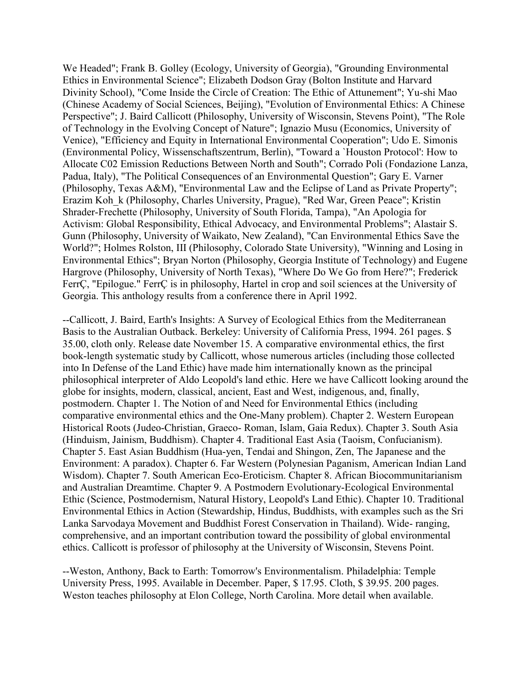We Headed"; Frank B. Golley (Ecology, University of Georgia), "Grounding Environmental Ethics in Environmental Science"; Elizabeth Dodson Gray (Bolton Institute and Harvard Divinity School), "Come Inside the Circle of Creation: The Ethic of Attunement"; Yu-shi Mao (Chinese Academy of Social Sciences, Beijing), "Evolution of Environmental Ethics: A Chinese Perspective"; J. Baird Callicott (Philosophy, University of Wisconsin, Stevens Point), "The Role of Technology in the Evolving Concept of Nature"; Ignazio Musu (Economics, University of Venice), "Efficiency and Equity in International Environmental Cooperation"; Udo E. Simonis (Environmental Policy, Wissenschaftszentrum, Berlin), "Toward a `Houston Protocol': How to Allocate C02 Emission Reductions Between North and South"; Corrado Poli (Fondazione Lanza, Padua, Italy), "The Political Consequences of an Environmental Question"; Gary E. Varner (Philosophy, Texas A&M), "Environmental Law and the Eclipse of Land as Private Property"; Erazim Koh\_k (Philosophy, Charles University, Prague), "Red War, Green Peace"; Kristin Shrader-Frechette (Philosophy, University of South Florida, Tampa), "An Apologia for Activism: Global Responsibility, Ethical Advocacy, and Environmental Problems"; Alastair S. Gunn (Philosophy, University of Waikato, New Zealand), "Can Environmental Ethics Save the World?"; Holmes Rolston, III (Philosophy, Colorado State University), "Winning and Losing in Environmental Ethics"; Bryan Norton (Philosophy, Georgia Institute of Technology) and Eugene Hargrove (Philosophy, University of North Texas), "Where Do We Go from Here?"; Frederick FerrÇ, "Epilogue." FerrÇ is in philosophy, Hartel in crop and soil sciences at the University of Georgia. This anthology results from a conference there in April 1992.

--Callicott, J. Baird, Earth's Insights: A Survey of Ecological Ethics from the Mediterranean Basis to the Australian Outback. Berkeley: University of California Press, 1994. 261 pages. \$ 35.00, cloth only. Release date November 15. A comparative environmental ethics, the first book-length systematic study by Callicott, whose numerous articles (including those collected into In Defense of the Land Ethic) have made him internationally known as the principal philosophical interpreter of Aldo Leopold's land ethic. Here we have Callicott looking around the globe for insights, modern, classical, ancient, East and West, indigenous, and, finally, postmodern. Chapter 1. The Notion of and Need for Environmental Ethics (including comparative environmental ethics and the One-Many problem). Chapter 2. Western European Historical Roots (Judeo-Christian, Graeco- Roman, Islam, Gaia Redux). Chapter 3. South Asia (Hinduism, Jainism, Buddhism). Chapter 4. Traditional East Asia (Taoism, Confucianism). Chapter 5. East Asian Buddhism (Hua-yen, Tendai and Shingon, Zen, The Japanese and the Environment: A paradox). Chapter 6. Far Western (Polynesian Paganism, American Indian Land Wisdom). Chapter 7. South American Eco-Eroticism. Chapter 8. African Biocommunitarianism and Australian Dreamtime. Chapter 9. A Postmodern Evolutionary-Ecological Environmental Ethic (Science, Postmodernism, Natural History, Leopold's Land Ethic). Chapter 10. Traditional Environmental Ethics in Action (Stewardship, Hindus, Buddhists, with examples such as the Sri Lanka Sarvodaya Movement and Buddhist Forest Conservation in Thailand). Wide- ranging, comprehensive, and an important contribution toward the possibility of global environmental ethics. Callicott is professor of philosophy at the University of Wisconsin, Stevens Point.

--Weston, Anthony, Back to Earth: Tomorrow's Environmentalism. Philadelphia: Temple University Press, 1995. Available in December. Paper, \$ 17.95. Cloth, \$ 39.95. 200 pages. Weston teaches philosophy at Elon College, North Carolina. More detail when available.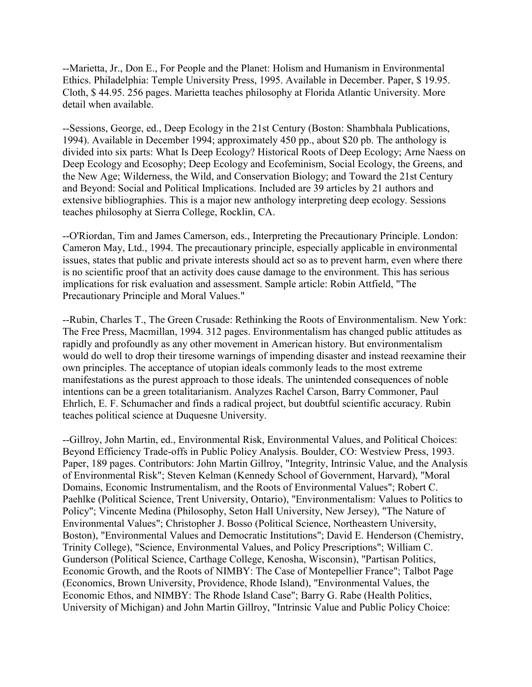--Marietta, Jr., Don E., For People and the Planet: Holism and Humanism in Environmental Ethics. Philadelphia: Temple University Press, 1995. Available in December. Paper, \$ 19.95. Cloth, \$ 44.95. 256 pages. Marietta teaches philosophy at Florida Atlantic University. More detail when available.

--Sessions, George, ed., Deep Ecology in the 21st Century (Boston: Shambhala Publications, 1994). Available in December 1994; approximately 450 pp., about \$20 pb. The anthology is divided into six parts: What Is Deep Ecology? Historical Roots of Deep Ecology; Arne Naess on Deep Ecology and Ecosophy; Deep Ecology and Ecofeminism, Social Ecology, the Greens, and the New Age; Wilderness, the Wild, and Conservation Biology; and Toward the 21st Century and Beyond: Social and Political Implications. Included are 39 articles by 21 authors and extensive bibliographies. This is a major new anthology interpreting deep ecology. Sessions teaches philosophy at Sierra College, Rocklin, CA.

--O'Riordan, Tim and James Camerson, eds., Interpreting the Precautionary Principle. London: Cameron May, Ltd., 1994. The precautionary principle, especially applicable in environmental issues, states that public and private interests should act so as to prevent harm, even where there is no scientific proof that an activity does cause damage to the environment. This has serious implications for risk evaluation and assessment. Sample article: Robin Attfield, "The Precautionary Principle and Moral Values."

--Rubin, Charles T., The Green Crusade: Rethinking the Roots of Environmentalism. New York: The Free Press, Macmillan, 1994. 312 pages. Environmentalism has changed public attitudes as rapidly and profoundly as any other movement in American history. But environmentalism would do well to drop their tiresome warnings of impending disaster and instead reexamine their own principles. The acceptance of utopian ideals commonly leads to the most extreme manifestations as the purest approach to those ideals. The unintended consequences of noble intentions can be a green totalitarianism. Analyzes Rachel Carson, Barry Commoner, Paul Ehrlich, E. F. Schumacher and finds a radical project, but doubtful scientific accuracy. Rubin teaches political science at Duquesne University.

--Gillroy, John Martin, ed., Environmental Risk, Environmental Values, and Political Choices: Beyond Efficiency Trade-offs in Public Policy Analysis. Boulder, CO: Westview Press, 1993. Paper, 189 pages. Contributors: John Martin Gillroy, "Integrity, Intrinsic Value, and the Analysis of Environmental Risk"; Steven Kelman (Kennedy School of Government, Harvard), "Moral Domains, Economic Instrumentalism, and the Roots of Environmental Values"; Robert C. Paehlke (Political Science, Trent University, Ontario), "Environmentalism: Values to Politics to Policy"; Vincente Medina (Philosophy, Seton Hall University, New Jersey), "The Nature of Environmental Values"; Christopher J. Bosso (Political Science, Northeastern University, Boston), "Environmental Values and Democratic Institutions"; David E. Henderson (Chemistry, Trinity College), "Science, Environmental Values, and Policy Prescriptions"; William C. Gunderson (Political Science, Carthage College, Kenosha, Wisconsin), "Partisan Politics, Economic Growth, and the Roots of NIMBY: The Case of Montepellier France"; Talbot Page (Economics, Brown University, Providence, Rhode Island), "Environmental Values, the Economic Ethos, and NIMBY: The Rhode Island Case"; Barry G. Rabe (Health Politics, University of Michigan) and John Martin Gillroy, "Intrinsic Value and Public Policy Choice: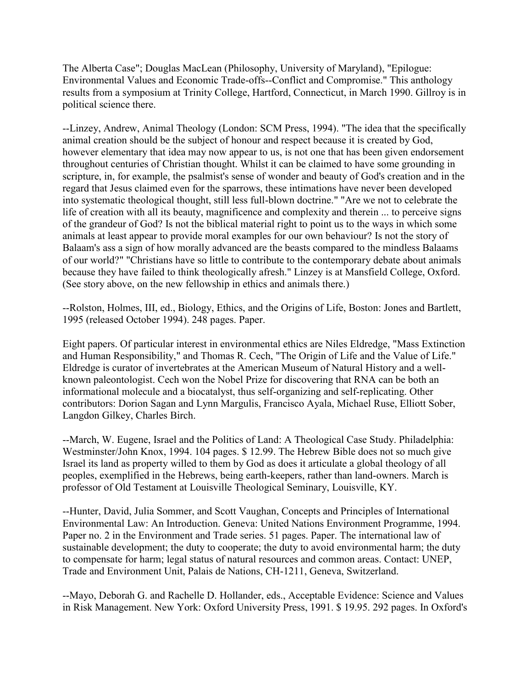The Alberta Case"; Douglas MacLean (Philosophy, University of Maryland), "Epilogue: Environmental Values and Economic Trade-offs--Conflict and Compromise." This anthology results from a symposium at Trinity College, Hartford, Connecticut, in March 1990. Gillroy is in political science there.

--Linzey, Andrew, Animal Theology (London: SCM Press, 1994). "The idea that the specifically animal creation should be the subject of honour and respect because it is created by God, however elementary that idea may now appear to us, is not one that has been given endorsement throughout centuries of Christian thought. Whilst it can be claimed to have some grounding in scripture, in, for example, the psalmist's sense of wonder and beauty of God's creation and in the regard that Jesus claimed even for the sparrows, these intimations have never been developed into systematic theological thought, still less full-blown doctrine." "Are we not to celebrate the life of creation with all its beauty, magnificence and complexity and therein ... to perceive signs of the grandeur of God? Is not the biblical material right to point us to the ways in which some animals at least appear to provide moral examples for our own behaviour? Is not the story of Balaam's ass a sign of how morally advanced are the beasts compared to the mindless Balaams of our world?" "Christians have so little to contribute to the contemporary debate about animals because they have failed to think theologically afresh." Linzey is at Mansfield College, Oxford. (See story above, on the new fellowship in ethics and animals there.)

--Rolston, Holmes, III, ed., Biology, Ethics, and the Origins of Life, Boston: Jones and Bartlett, 1995 (released October 1994). 248 pages. Paper.

Eight papers. Of particular interest in environmental ethics are Niles Eldredge, "Mass Extinction and Human Responsibility," and Thomas R. Cech, "The Origin of Life and the Value of Life." Eldredge is curator of invertebrates at the American Museum of Natural History and a wellknown paleontologist. Cech won the Nobel Prize for discovering that RNA can be both an informational molecule and a biocatalyst, thus self-organizing and self-replicating. Other contributors: Dorion Sagan and Lynn Margulis, Francisco Ayala, Michael Ruse, Elliott Sober, Langdon Gilkey, Charles Birch.

--March, W. Eugene, Israel and the Politics of Land: A Theological Case Study. Philadelphia: Westminster/John Knox, 1994. 104 pages. \$ 12.99. The Hebrew Bible does not so much give Israel its land as property willed to them by God as does it articulate a global theology of all peoples, exemplified in the Hebrews, being earth-keepers, rather than land-owners. March is professor of Old Testament at Louisville Theological Seminary, Louisville, KY.

--Hunter, David, Julia Sommer, and Scott Vaughan, Concepts and Principles of International Environmental Law: An Introduction. Geneva: United Nations Environment Programme, 1994. Paper no. 2 in the Environment and Trade series. 51 pages. Paper. The international law of sustainable development; the duty to cooperate; the duty to avoid environmental harm; the duty to compensate for harm; legal status of natural resources and common areas. Contact: UNEP, Trade and Environment Unit, Palais de Nations, CH-1211, Geneva, Switzerland.

--Mayo, Deborah G. and Rachelle D. Hollander, eds., Acceptable Evidence: Science and Values in Risk Management. New York: Oxford University Press, 1991. \$ 19.95. 292 pages. In Oxford's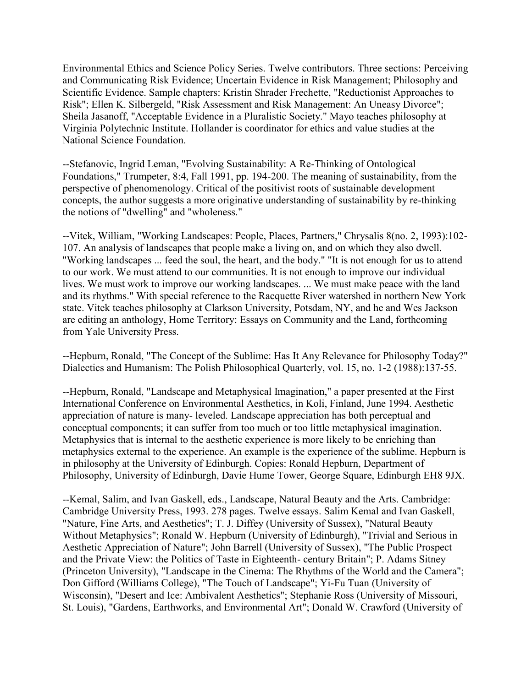Environmental Ethics and Science Policy Series. Twelve contributors. Three sections: Perceiving and Communicating Risk Evidence; Uncertain Evidence in Risk Management; Philosophy and Scientific Evidence. Sample chapters: Kristin Shrader Frechette, "Reductionist Approaches to Risk"; Ellen K. Silbergeld, "Risk Assessment and Risk Management: An Uneasy Divorce"; Sheila Jasanoff, "Acceptable Evidence in a Pluralistic Society." Mayo teaches philosophy at Virginia Polytechnic Institute. Hollander is coordinator for ethics and value studies at the National Science Foundation.

--Stefanovic, Ingrid Leman, "Evolving Sustainability: A Re-Thinking of Ontological Foundations," Trumpeter, 8:4, Fall 1991, pp. 194-200. The meaning of sustainability, from the perspective of phenomenology. Critical of the positivist roots of sustainable development concepts, the author suggests a more originative understanding of sustainability by re-thinking the notions of "dwelling" and "wholeness."

--Vitek, William, "Working Landscapes: People, Places, Partners," Chrysalis 8(no. 2, 1993):102- 107. An analysis of landscapes that people make a living on, and on which they also dwell. "Working landscapes ... feed the soul, the heart, and the body." "It is not enough for us to attend to our work. We must attend to our communities. It is not enough to improve our individual lives. We must work to improve our working landscapes. ... We must make peace with the land and its rhythms." With special reference to the Racquette River watershed in northern New York state. Vitek teaches philosophy at Clarkson University, Potsdam, NY, and he and Wes Jackson are editing an anthology, Home Territory: Essays on Community and the Land, forthcoming from Yale University Press.

--Hepburn, Ronald, "The Concept of the Sublime: Has It Any Relevance for Philosophy Today?" Dialectics and Humanism: The Polish Philosophical Quarterly, vol. 15, no. 1-2 (1988):137-55.

--Hepburn, Ronald, "Landscape and Metaphysical Imagination," a paper presented at the First International Conference on Environmental Aesthetics, in Koli, Finland, June 1994. Aesthetic appreciation of nature is many- leveled. Landscape appreciation has both perceptual and conceptual components; it can suffer from too much or too little metaphysical imagination. Metaphysics that is internal to the aesthetic experience is more likely to be enriching than metaphysics external to the experience. An example is the experience of the sublime. Hepburn is in philosophy at the University of Edinburgh. Copies: Ronald Hepburn, Department of Philosophy, University of Edinburgh, Davie Hume Tower, George Square, Edinburgh EH8 9JX.

--Kemal, Salim, and Ivan Gaskell, eds., Landscape, Natural Beauty and the Arts. Cambridge: Cambridge University Press, 1993. 278 pages. Twelve essays. Salim Kemal and Ivan Gaskell, "Nature, Fine Arts, and Aesthetics"; T. J. Diffey (University of Sussex), "Natural Beauty Without Metaphysics"; Ronald W. Hepburn (University of Edinburgh), "Trivial and Serious in Aesthetic Appreciation of Nature"; John Barrell (University of Sussex), "The Public Prospect and the Private View: the Politics of Taste in Eighteenth- century Britain"; P. Adams Sitney (Princeton University), "Landscape in the Cinema: The Rhythms of the World and the Camera"; Don Gifford (Williams College), "The Touch of Landscape"; Yi-Fu Tuan (University of Wisconsin), "Desert and Ice: Ambivalent Aesthetics"; Stephanie Ross (University of Missouri, St. Louis), "Gardens, Earthworks, and Environmental Art"; Donald W. Crawford (University of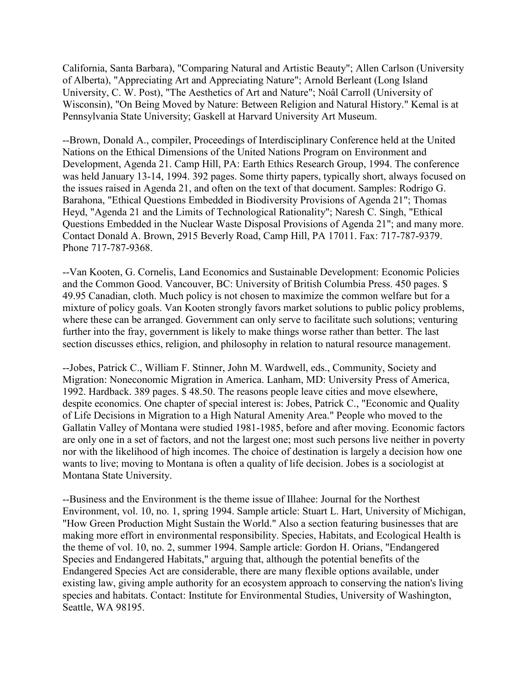California, Santa Barbara), "Comparing Natural and Artistic Beauty"; Allen Carlson (University of Alberta), "Appreciating Art and Appreciating Nature"; Arnold Berleant (Long Island University, C. W. Post), "The Aesthetics of Art and Nature"; Noâl Carroll (University of Wisconsin), "On Being Moved by Nature: Between Religion and Natural History." Kemal is at Pennsylvania State University; Gaskell at Harvard University Art Museum.

--Brown, Donald A., compiler, Proceedings of Interdisciplinary Conference held at the United Nations on the Ethical Dimensions of the United Nations Program on Environment and Development, Agenda 21. Camp Hill, PA: Earth Ethics Research Group, 1994. The conference was held January 13-14, 1994. 392 pages. Some thirty papers, typically short, always focused on the issues raised in Agenda 21, and often on the text of that document. Samples: Rodrigo G. Barahona, "Ethical Questions Embedded in Biodiversity Provisions of Agenda 21"; Thomas Heyd, "Agenda 21 and the Limits of Technological Rationality"; Naresh C. Singh, "Ethical Questions Embedded in the Nuclear Waste Disposal Provisions of Agenda 21"; and many more. Contact Donald A. Brown, 2915 Beverly Road, Camp Hill, PA 17011. Fax: 717-787-9379. Phone 717-787-9368.

--Van Kooten, G. Cornelis, Land Economics and Sustainable Development: Economic Policies and the Common Good. Vancouver, BC: University of British Columbia Press. 450 pages. \$ 49.95 Canadian, cloth. Much policy is not chosen to maximize the common welfare but for a mixture of policy goals. Van Kooten strongly favors market solutions to public policy problems, where these can be arranged. Government can only serve to facilitate such solutions; venturing further into the fray, government is likely to make things worse rather than better. The last section discusses ethics, religion, and philosophy in relation to natural resource management.

--Jobes, Patrick C., William F. Stinner, John M. Wardwell, eds., Community, Society and Migration: Noneconomic Migration in America. Lanham, MD: University Press of America, 1992. Hardback. 389 pages. \$ 48.50. The reasons people leave cities and move elsewhere, despite economics. One chapter of special interest is: Jobes, Patrick C., "Economic and Quality of Life Decisions in Migration to a High Natural Amenity Area." People who moved to the Gallatin Valley of Montana were studied 1981-1985, before and after moving. Economic factors are only one in a set of factors, and not the largest one; most such persons live neither in poverty nor with the likelihood of high incomes. The choice of destination is largely a decision how one wants to live; moving to Montana is often a quality of life decision. Jobes is a sociologist at Montana State University.

--Business and the Environment is the theme issue of Illahee: Journal for the Northest Environment, vol. 10, no. 1, spring 1994. Sample article: Stuart L. Hart, University of Michigan, "How Green Production Might Sustain the World." Also a section featuring businesses that are making more effort in environmental responsibility. Species, Habitats, and Ecological Health is the theme of vol. 10, no. 2, summer 1994. Sample article: Gordon H. Orians, "Endangered Species and Endangered Habitats," arguing that, although the potential benefits of the Endangered Species Act are considerable, there are many flexible options available, under existing law, giving ample authority for an ecosystem approach to conserving the nation's living species and habitats. Contact: Institute for Environmental Studies, University of Washington, Seattle, WA 98195.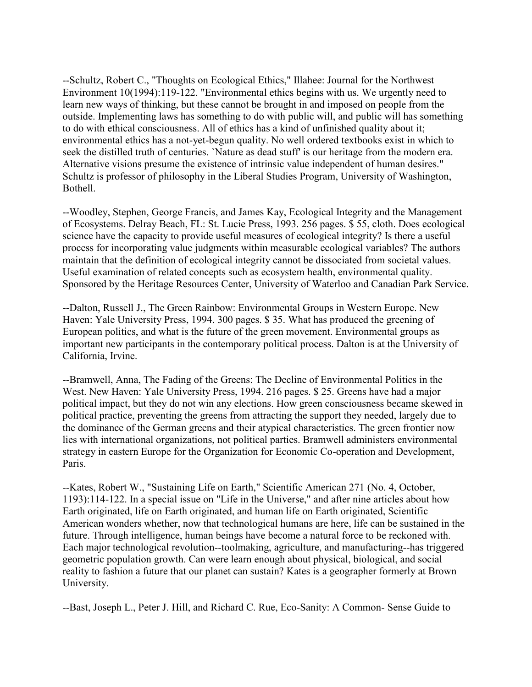--Schultz, Robert C., "Thoughts on Ecological Ethics," Illahee: Journal for the Northwest Environment 10(1994):119-122. "Environmental ethics begins with us. We urgently need to learn new ways of thinking, but these cannot be brought in and imposed on people from the outside. Implementing laws has something to do with public will, and public will has something to do with ethical consciousness. All of ethics has a kind of unfinished quality about it; environmental ethics has a not-yet-begun quality. No well ordered textbooks exist in which to seek the distilled truth of centuries. `Nature as dead stuff' is our heritage from the modern era. Alternative visions presume the existence of intrinsic value independent of human desires." Schultz is professor of philosophy in the Liberal Studies Program, University of Washington, Bothell.

--Woodley, Stephen, George Francis, and James Kay, Ecological Integrity and the Management of Ecosystems. Delray Beach, FL: St. Lucie Press, 1993. 256 pages. \$ 55, cloth. Does ecological science have the capacity to provide useful measures of ecological integrity? Is there a useful process for incorporating value judgments within measurable ecological variables? The authors maintain that the definition of ecological integrity cannot be dissociated from societal values. Useful examination of related concepts such as ecosystem health, environmental quality. Sponsored by the Heritage Resources Center, University of Waterloo and Canadian Park Service.

--Dalton, Russell J., The Green Rainbow: Environmental Groups in Western Europe. New Haven: Yale University Press, 1994. 300 pages. \$ 35. What has produced the greening of European politics, and what is the future of the green movement. Environmental groups as important new participants in the contemporary political process. Dalton is at the University of California, Irvine.

--Bramwell, Anna, The Fading of the Greens: The Decline of Environmental Politics in the West. New Haven: Yale University Press, 1994. 216 pages. \$ 25. Greens have had a major political impact, but they do not win any elections. How green consciousness became skewed in political practice, preventing the greens from attracting the support they needed, largely due to the dominance of the German greens and their atypical characteristics. The green frontier now lies with international organizations, not political parties. Bramwell administers environmental strategy in eastern Europe for the Organization for Economic Co-operation and Development, Paris.

--Kates, Robert W., "Sustaining Life on Earth," Scientific American 271 (No. 4, October, 1193):114-122. In a special issue on "Life in the Universe," and after nine articles about how Earth originated, life on Earth originated, and human life on Earth originated, Scientific American wonders whether, now that technological humans are here, life can be sustained in the future. Through intelligence, human beings have become a natural force to be reckoned with. Each major technological revolution--toolmaking, agriculture, and manufacturing--has triggered geometric population growth. Can were learn enough about physical, biological, and social reality to fashion a future that our planet can sustain? Kates is a geographer formerly at Brown University.

--Bast, Joseph L., Peter J. Hill, and Richard C. Rue, Eco-Sanity: A Common- Sense Guide to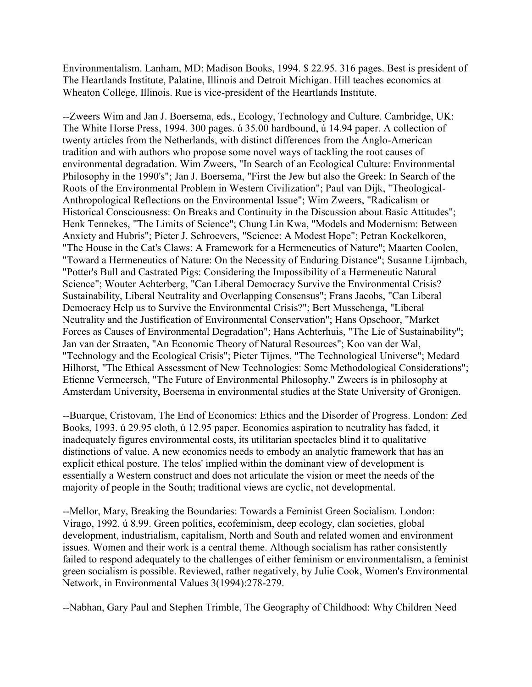Environmentalism. Lanham, MD: Madison Books, 1994. \$ 22.95. 316 pages. Best is president of The Heartlands Institute, Palatine, Illinois and Detroit Michigan. Hill teaches economics at Wheaton College, Illinois. Rue is vice-president of the Heartlands Institute.

--Zweers Wim and Jan J. Boersema, eds., Ecology, Technology and Culture. Cambridge, UK: The White Horse Press, 1994. 300 pages. ú 35.00 hardbound, ú 14.94 paper. A collection of twenty articles from the Netherlands, with distinct differences from the Anglo-American tradition and with authors who propose some novel ways of tackling the root causes of environmental degradation. Wim Zweers, "In Search of an Ecological Culture: Environmental Philosophy in the 1990's"; Jan J. Boersema, "First the Jew but also the Greek: In Search of the Roots of the Environmental Problem in Western Civilization"; Paul van Dijk, "Theological-Anthropological Reflections on the Environmental Issue"; Wim Zweers, "Radicalism or Historical Consciousness: On Breaks and Continuity in the Discussion about Basic Attitudes"; Henk Tennekes, "The Limits of Science"; Chung Lin Kwa, "Models and Modernism: Between Anxiety and Hubris"; Pieter J. Schroevers, "Science: A Modest Hope"; Petran Kockelkoren, "The House in the Cat's Claws: A Framework for a Hermeneutics of Nature"; Maarten Coolen, "Toward a Hermeneutics of Nature: On the Necessity of Enduring Distance"; Susanne Lijmbach, "Potter's Bull and Castrated Pigs: Considering the Impossibility of a Hermeneutic Natural Science"; Wouter Achterberg, "Can Liberal Democracy Survive the Environmental Crisis? Sustainability, Liberal Neutrality and Overlapping Consensus"; Frans Jacobs, "Can Liberal Democracy Help us to Survive the Environmental Crisis?"; Bert Musschenga, "Liberal Neutrality and the Justification of Environmental Conservation"; Hans Opschoor, "Market Forces as Causes of Environmental Degradation"; Hans Achterhuis, "The Lie of Sustainability"; Jan van der Straaten, "An Economic Theory of Natural Resources"; Koo van der Wal, "Technology and the Ecological Crisis"; Pieter Tijmes, "The Technological Universe"; Medard Hilhorst, "The Ethical Assessment of New Technologies: Some Methodological Considerations"; Etienne Vermeersch, "The Future of Environmental Philosophy." Zweers is in philosophy at Amsterdam University, Boersema in environmental studies at the State University of Gronigen.

--Buarque, Cristovam, The End of Economics: Ethics and the Disorder of Progress. London: Zed Books, 1993. ú 29.95 cloth, ú 12.95 paper. Economics aspiration to neutrality has faded, it inadequately figures environmental costs, its utilitarian spectacles blind it to qualitative distinctions of value. A new economics needs to embody an analytic framework that has an explicit ethical posture. The telos' implied within the dominant view of development is essentially a Western construct and does not articulate the vision or meet the needs of the majority of people in the South; traditional views are cyclic, not developmental.

--Mellor, Mary, Breaking the Boundaries: Towards a Feminist Green Socialism. London: Virago, 1992. ú 8.99. Green politics, ecofeminism, deep ecology, clan societies, global development, industrialism, capitalism, North and South and related women and environment issues. Women and their work is a central theme. Although socialism has rather consistently failed to respond adequately to the challenges of either feminism or environmentalism, a feminist green socialism is possible. Reviewed, rather negatively, by Julie Cook, Women's Environmental Network, in Environmental Values 3(1994):278-279.

--Nabhan, Gary Paul and Stephen Trimble, The Geography of Childhood: Why Children Need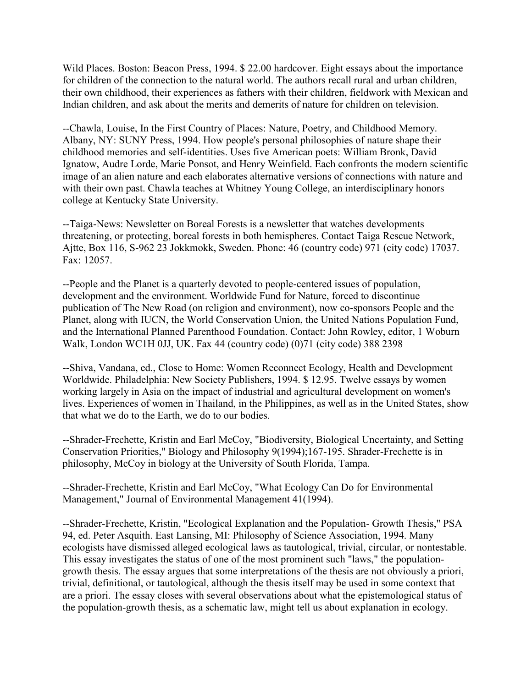Wild Places. Boston: Beacon Press, 1994. \$ 22.00 hardcover. Eight essays about the importance for children of the connection to the natural world. The authors recall rural and urban children, their own childhood, their experiences as fathers with their children, fieldwork with Mexican and Indian children, and ask about the merits and demerits of nature for children on television.

--Chawla, Louise, In the First Country of Places: Nature, Poetry, and Childhood Memory. Albany, NY: SUNY Press, 1994. How people's personal philosophies of nature shape their childhood memories and self-identities. Uses five American poets: William Bronk, David Ignatow, Audre Lorde, Marie Ponsot, and Henry Weinfield. Each confronts the modern scientific image of an alien nature and each elaborates alternative versions of connections with nature and with their own past. Chawla teaches at Whitney Young College, an interdisciplinary honors college at Kentucky State University.

--Taiga-News: Newsletter on Boreal Forests is a newsletter that watches developments threatening, or protecting, boreal forests in both hemispheres. Contact Taiga Rescue Network, Ajtte, Box 116, S-962 23 Jokkmokk, Sweden. Phone: 46 (country code) 971 (city code) 17037. Fax: 12057.

--People and the Planet is a quarterly devoted to people-centered issues of population, development and the environment. Worldwide Fund for Nature, forced to discontinue publication of The New Road (on religion and environment), now co-sponsors People and the Planet, along with IUCN, the World Conservation Union, the United Nations Population Fund, and the International Planned Parenthood Foundation. Contact: John Rowley, editor, 1 Woburn Walk, London WC1H 0JJ, UK. Fax 44 (country code) (0)71 (city code) 388 2398

--Shiva, Vandana, ed., Close to Home: Women Reconnect Ecology, Health and Development Worldwide. Philadelphia: New Society Publishers, 1994. \$ 12.95. Twelve essays by women working largely in Asia on the impact of industrial and agricultural development on women's lives. Experiences of women in Thailand, in the Philippines, as well as in the United States, show that what we do to the Earth, we do to our bodies.

--Shrader-Frechette, Kristin and Earl McCoy, "Biodiversity, Biological Uncertainty, and Setting Conservation Priorities," Biology and Philosophy 9(1994);167-195. Shrader-Frechette is in philosophy, McCoy in biology at the University of South Florida, Tampa.

--Shrader-Frechette, Kristin and Earl McCoy, "What Ecology Can Do for Environmental Management," Journal of Environmental Management 41(1994).

--Shrader-Frechette, Kristin, "Ecological Explanation and the Population- Growth Thesis," PSA 94, ed. Peter Asquith. East Lansing, MI: Philosophy of Science Association, 1994. Many ecologists have dismissed alleged ecological laws as tautological, trivial, circular, or nontestable. This essay investigates the status of one of the most prominent such "laws," the populationgrowth thesis. The essay argues that some interpretations of the thesis are not obviously a priori, trivial, definitional, or tautological, although the thesis itself may be used in some context that are a priori. The essay closes with several observations about what the epistemological status of the population-growth thesis, as a schematic law, might tell us about explanation in ecology.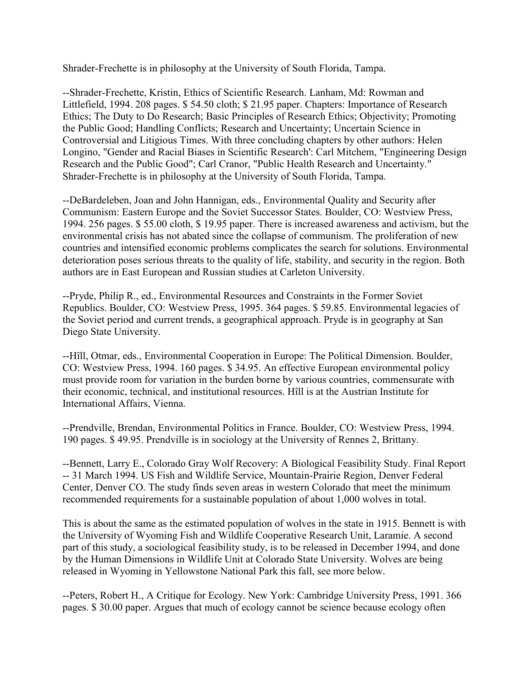Shrader-Frechette is in philosophy at the University of South Florida, Tampa.

--Shrader-Frechette, Kristin, Ethics of Scientific Research. Lanham, Md: Rowman and Littlefield, 1994. 208 pages. \$ 54.50 cloth; \$ 21.95 paper. Chapters: Importance of Research Ethics; The Duty to Do Research; Basic Principles of Research Ethics; Objectivity; Promoting the Public Good; Handling Conflicts; Research and Uncertainty; Uncertain Science in Controversial and Litigious Times. With three concluding chapters by other authors: Helen Longino, "Gender and Racial Biases in Scientific Research': Carl Mitchem, "Engineering Design Research and the Public Good"; Carl Cranor, "Public Health Research and Uncertainty." Shrader-Frechette is in philosophy at the University of South Florida, Tampa.

--DeBardeleben, Joan and John Hannigan, eds., Environmental Quality and Security after Communism: Eastern Europe and the Soviet Successor States. Boulder, CO: Westview Press, 1994. 256 pages. \$ 55.00 cloth, \$ 19.95 paper. There is increased awareness and activism, but the environmental crisis has not abated since the collapse of communism. The proliferation of new countries and intensified economic problems complicates the search for solutions. Environmental deterioration poses serious threats to the quality of life, stability, and security in the region. Both authors are in East European and Russian studies at Carleton University.

--Pryde, Philip R., ed., Environmental Resources and Constraints in the Former Soviet Republics. Boulder, CO: Westview Press, 1995. 364 pages. \$ 59.85. Environmental legacies of the Soviet period and current trends, a geographical approach. Pryde is in geography at San Diego State University.

--Hîll, Otmar, eds., Environmental Cooperation in Europe: The Political Dimension. Boulder, CO: Westview Press, 1994. 160 pages. \$ 34.95. An effective European environmental policy must provide room for variation in the burden borne by various countries, commensurate with their economic, technical, and institutional resources. Hîll is at the Austrian Institute for International Affairs, Vienna.

--Prendville, Brendan, Environmental Politics in France. Boulder, CO: Westview Press, 1994. 190 pages. \$ 49.95. Prendville is in sociology at the University of Rennes 2, Brittany.

--Bennett, Larry E., Colorado Gray Wolf Recovery: A Biological Feasibility Study. Final Report -- 31 March 1994. US Fish and Wildlife Service, Mountain-Prairie Region, Denver Federal Center, Denver CO. The study finds seven areas in western Colorado that meet the minimum recommended requirements for a sustainable population of about 1,000 wolves in total.

This is about the same as the estimated population of wolves in the state in 1915. Bennett is with the University of Wyoming Fish and Wildlife Cooperative Research Unit, Laramie. A second part of this study, a sociological feasibility study, is to be released in December 1994, and done by the Human Dimensions in Wildlife Unit at Colorado State University. Wolves are being released in Wyoming in Yellowstone National Park this fall, see more below.

--Peters, Robert H., A Critique for Ecology. New York: Cambridge University Press, 1991. 366 pages. \$ 30.00 paper. Argues that much of ecology cannot be science because ecology often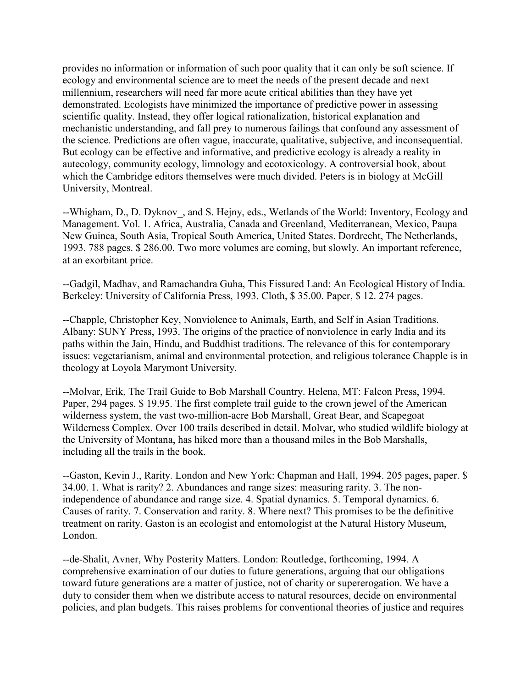provides no information or information of such poor quality that it can only be soft science. If ecology and environmental science are to meet the needs of the present decade and next millennium, researchers will need far more acute critical abilities than they have yet demonstrated. Ecologists have minimized the importance of predictive power in assessing scientific quality. Instead, they offer logical rationalization, historical explanation and mechanistic understanding, and fall prey to numerous failings that confound any assessment of the science. Predictions are often vague, inaccurate, qualitative, subjective, and inconsequential. But ecology can be effective and informative, and predictive ecology is already a reality in autecology, community ecology, limnology and ecotoxicology. A controversial book, about which the Cambridge editors themselves were much divided. Peters is in biology at McGill University, Montreal.

--Whigham, D., D. Dyknov, and S. Hejny, eds., Wetlands of the World: Inventory, Ecology and Management. Vol. 1. Africa, Australia, Canada and Greenland, Mediterranean, Mexico, Paupa New Guinea, South Asia, Tropical South America, United States. Dordrecht, The Netherlands, 1993. 788 pages. \$ 286.00. Two more volumes are coming, but slowly. An important reference, at an exorbitant price.

--Gadgil, Madhav, and Ramachandra Guha, This Fissured Land: An Ecological History of India. Berkeley: University of California Press, 1993. Cloth, \$ 35.00. Paper, \$ 12. 274 pages.

--Chapple, Christopher Key, Nonviolence to Animals, Earth, and Self in Asian Traditions. Albany: SUNY Press, 1993. The origins of the practice of nonviolence in early India and its paths within the Jain, Hindu, and Buddhist traditions. The relevance of this for contemporary issues: vegetarianism, animal and environmental protection, and religious tolerance Chapple is in theology at Loyola Marymont University.

--Molvar, Erik, The Trail Guide to Bob Marshall Country. Helena, MT: Falcon Press, 1994. Paper, 294 pages. \$ 19.95. The first complete trail guide to the crown jewel of the American wilderness system, the vast two-million-acre Bob Marshall, Great Bear, and Scapegoat Wilderness Complex. Over 100 trails described in detail. Molvar, who studied wildlife biology at the University of Montana, has hiked more than a thousand miles in the Bob Marshalls, including all the trails in the book.

--Gaston, Kevin J., Rarity. London and New York: Chapman and Hall, 1994. 205 pages, paper. \$ 34.00. 1. What is rarity? 2. Abundances and range sizes: measuring rarity. 3. The nonindependence of abundance and range size. 4. Spatial dynamics. 5. Temporal dynamics. 6. Causes of rarity. 7. Conservation and rarity. 8. Where next? This promises to be the definitive treatment on rarity. Gaston is an ecologist and entomologist at the Natural History Museum, London.

--de-Shalit, Avner, Why Posterity Matters. London: Routledge, forthcoming, 1994. A comprehensive examination of our duties to future generations, arguing that our obligations toward future generations are a matter of justice, not of charity or supererogation. We have a duty to consider them when we distribute access to natural resources, decide on environmental policies, and plan budgets. This raises problems for conventional theories of justice and requires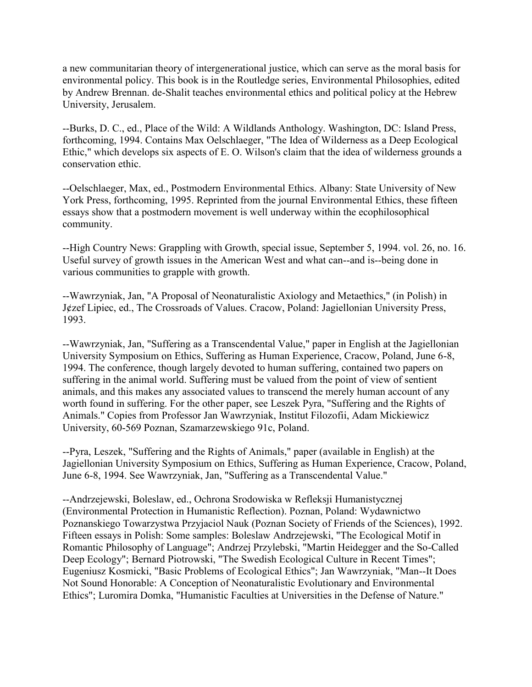a new communitarian theory of intergenerational justice, which can serve as the moral basis for environmental policy. This book is in the Routledge series, Environmental Philosophies, edited by Andrew Brennan. de-Shalit teaches environmental ethics and political policy at the Hebrew University, Jerusalem.

--Burks, D. C., ed., Place of the Wild: A Wildlands Anthology. Washington, DC: Island Press, forthcoming, 1994. Contains Max Oelschlaeger, "The Idea of Wilderness as a Deep Ecological Ethic," which develops six aspects of E. O. Wilson's claim that the idea of wilderness grounds a conservation ethic.

--Oelschlaeger, Max, ed., Postmodern Environmental Ethics. Albany: State University of New York Press, forthcoming, 1995. Reprinted from the journal Environmental Ethics, these fifteen essays show that a postmodern movement is well underway within the ecophilosophical community.

--High Country News: Grappling with Growth, special issue, September 5, 1994. vol. 26, no. 16. Useful survey of growth issues in the American West and what can--and is--being done in various communities to grapple with growth.

--Wawrzyniak, Jan, "A Proposal of Neonaturalistic Axiology and Metaethics," (in Polish) in J¢zef Lipiec, ed., The Crossroads of Values. Cracow, Poland: Jagiellonian University Press, 1993.

--Wawrzyniak, Jan, "Suffering as a Transcendental Value," paper in English at the Jagiellonian University Symposium on Ethics, Suffering as Human Experience, Cracow, Poland, June 6-8, 1994. The conference, though largely devoted to human suffering, contained two papers on suffering in the animal world. Suffering must be valued from the point of view of sentient animals, and this makes any associated values to transcend the merely human account of any worth found in suffering. For the other paper, see Leszek Pyra, "Suffering and the Rights of Animals." Copies from Professor Jan Wawrzyniak, Institut Filozofii, Adam Mickiewicz University, 60-569 Poznan, Szamarzewskiego 91c, Poland.

--Pyra, Leszek, "Suffering and the Rights of Animals," paper (available in English) at the Jagiellonian University Symposium on Ethics, Suffering as Human Experience, Cracow, Poland, June 6-8, 1994. See Wawrzyniak, Jan, "Suffering as a Transcendental Value."

--Andrzejewski, Boleslaw, ed., Ochrona Srodowiska w Refleksji Humanistycznej (Environmental Protection in Humanistic Reflection). Poznan, Poland: Wydawnictwo Poznanskiego Towarzystwa Przyjaciol Nauk (Poznan Society of Friends of the Sciences), 1992. Fifteen essays in Polish: Some samples: Boleslaw Andrzejewski, "The Ecological Motif in Romantic Philosophy of Language"; Andrzej Przylebski, "Martin Heidegger and the So-Called Deep Ecology"; Bernard Piotrowski, "The Swedish Ecological Culture in Recent Times"; Eugeniusz Kosmicki, "Basic Problems of Ecological Ethics"; Jan Wawrzyniak, "Man--It Does Not Sound Honorable: A Conception of Neonaturalistic Evolutionary and Environmental Ethics"; Luromira Domka, "Humanistic Faculties at Universities in the Defense of Nature."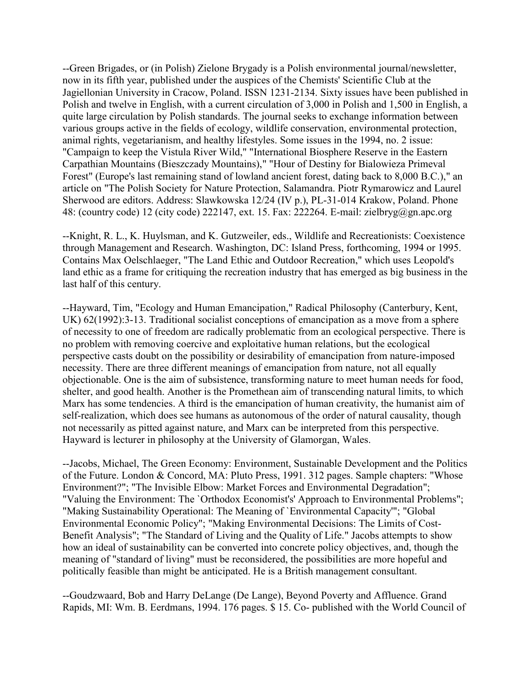--Green Brigades, or (in Polish) Zielone Brygady is a Polish environmental journal/newsletter, now in its fifth year, published under the auspices of the Chemists' Scientific Club at the Jagiellonian University in Cracow, Poland. ISSN 1231-2134. Sixty issues have been published in Polish and twelve in English, with a current circulation of 3,000 in Polish and 1,500 in English, a quite large circulation by Polish standards. The journal seeks to exchange information between various groups active in the fields of ecology, wildlife conservation, environmental protection, animal rights, vegetarianism, and healthy lifestyles. Some issues in the 1994, no. 2 issue: "Campaign to keep the Vistula River Wild," "International Biosphere Reserve in the Eastern Carpathian Mountains (Bieszczady Mountains)," "Hour of Destiny for Bialowieza Primeval Forest" (Europe's last remaining stand of lowland ancient forest, dating back to 8,000 B.C.)," an article on "The Polish Society for Nature Protection, Salamandra. Piotr Rymarowicz and Laurel Sherwood are editors. Address: Slawkowska 12/24 (IV p.), PL-31-014 Krakow, Poland. Phone 48: (country code) 12 (city code) 222147, ext. 15. Fax: 222264. E-mail: zielbryg@gn.apc.org

--Knight, R. L., K. Huylsman, and K. Gutzweiler, eds., Wildlife and Recreationists: Coexistence through Management and Research. Washington, DC: Island Press, forthcoming, 1994 or 1995. Contains Max Oelschlaeger, "The Land Ethic and Outdoor Recreation," which uses Leopold's land ethic as a frame for critiquing the recreation industry that has emerged as big business in the last half of this century.

--Hayward, Tim, "Ecology and Human Emancipation," Radical Philosophy (Canterbury, Kent, UK) 62(1992):3-13. Traditional socialist conceptions of emancipation as a move from a sphere of necessity to one of freedom are radically problematic from an ecological perspective. There is no problem with removing coercive and exploitative human relations, but the ecological perspective casts doubt on the possibility or desirability of emancipation from nature-imposed necessity. There are three different meanings of emancipation from nature, not all equally objectionable. One is the aim of subsistence, transforming nature to meet human needs for food, shelter, and good health. Another is the Promethean aim of transcending natural limits, to which Marx has some tendencies. A third is the emancipation of human creativity, the humanist aim of self-realization, which does see humans as autonomous of the order of natural causality, though not necessarily as pitted against nature, and Marx can be interpreted from this perspective. Hayward is lecturer in philosophy at the University of Glamorgan, Wales.

--Jacobs, Michael, The Green Economy: Environment, Sustainable Development and the Politics of the Future. London & Concord, MA: Pluto Press, 1991. 312 pages. Sample chapters: "Whose Environment?"; "The Invisible Elbow: Market Forces and Environmental Degradation"; "Valuing the Environment: The `Orthodox Economist's' Approach to Environmental Problems"; "Making Sustainability Operational: The Meaning of `Environmental Capacity'"; "Global Environmental Economic Policy"; "Making Environmental Decisions: The Limits of Cost-Benefit Analysis"; "The Standard of Living and the Quality of Life." Jacobs attempts to show how an ideal of sustainability can be converted into concrete policy objectives, and, though the meaning of "standard of living" must be reconsidered, the possibilities are more hopeful and politically feasible than might be anticipated. He is a British management consultant.

--Goudzwaard, Bob and Harry DeLange (De Lange), Beyond Poverty and Affluence. Grand Rapids, MI: Wm. B. Eerdmans, 1994. 176 pages. \$ 15. Co- published with the World Council of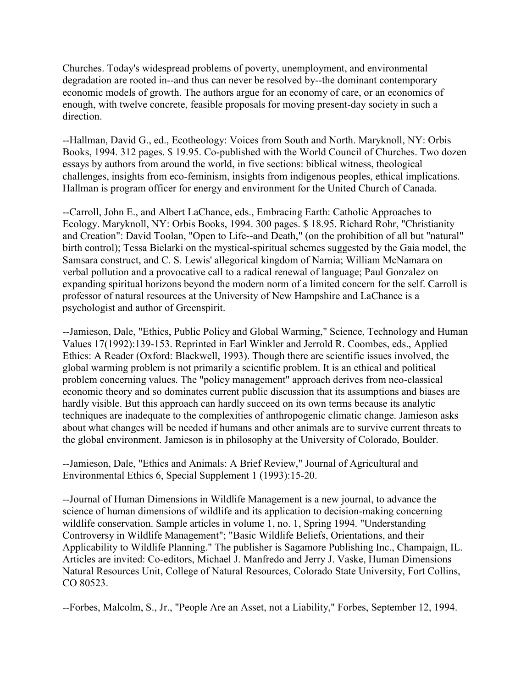Churches. Today's widespread problems of poverty, unemployment, and environmental degradation are rooted in--and thus can never be resolved by--the dominant contemporary economic models of growth. The authors argue for an economy of care, or an economics of enough, with twelve concrete, feasible proposals for moving present-day society in such a direction.

--Hallman, David G., ed., Ecotheology: Voices from South and North. Maryknoll, NY: Orbis Books, 1994. 312 pages. \$ 19.95. Co-published with the World Council of Churches. Two dozen essays by authors from around the world, in five sections: biblical witness, theological challenges, insights from eco-feminism, insights from indigenous peoples, ethical implications. Hallman is program officer for energy and environment for the United Church of Canada.

--Carroll, John E., and Albert LaChance, eds., Embracing Earth: Catholic Approaches to Ecology. Maryknoll, NY: Orbis Books, 1994. 300 pages. \$ 18.95. Richard Rohr, "Christianity and Creation": David Toolan, "Open to Life--and Death," (on the prohibition of all but "natural" birth control); Tessa Bielarki on the mystical-spiritual schemes suggested by the Gaia model, the Samsara construct, and C. S. Lewis' allegorical kingdom of Narnia; William McNamara on verbal pollution and a provocative call to a radical renewal of language; Paul Gonzalez on expanding spiritual horizons beyond the modern norm of a limited concern for the self. Carroll is professor of natural resources at the University of New Hampshire and LaChance is a psychologist and author of Greenspirit.

--Jamieson, Dale, "Ethics, Public Policy and Global Warming," Science, Technology and Human Values 17(1992):139-153. Reprinted in Earl Winkler and Jerrold R. Coombes, eds., Applied Ethics: A Reader (Oxford: Blackwell, 1993). Though there are scientific issues involved, the global warming problem is not primarily a scientific problem. It is an ethical and political problem concerning values. The "policy management" approach derives from neo-classical economic theory and so dominates current public discussion that its assumptions and biases are hardly visible. But this approach can hardly succeed on its own terms because its analytic techniques are inadequate to the complexities of anthropogenic climatic change. Jamieson asks about what changes will be needed if humans and other animals are to survive current threats to the global environment. Jamieson is in philosophy at the University of Colorado, Boulder.

--Jamieson, Dale, "Ethics and Animals: A Brief Review," Journal of Agricultural and Environmental Ethics 6, Special Supplement 1 (1993):15-20.

--Journal of Human Dimensions in Wildlife Management is a new journal, to advance the science of human dimensions of wildlife and its application to decision-making concerning wildlife conservation. Sample articles in volume 1, no. 1, Spring 1994. "Understanding Controversy in Wildlife Management"; "Basic Wildlife Beliefs, Orientations, and their Applicability to Wildlife Planning." The publisher is Sagamore Publishing Inc., Champaign, IL. Articles are invited: Co-editors, Michael J. Manfredo and Jerry J. Vaske, Human Dimensions Natural Resources Unit, College of Natural Resources, Colorado State University, Fort Collins, CO 80523.

--Forbes, Malcolm, S., Jr., "People Are an Asset, not a Liability," Forbes, September 12, 1994.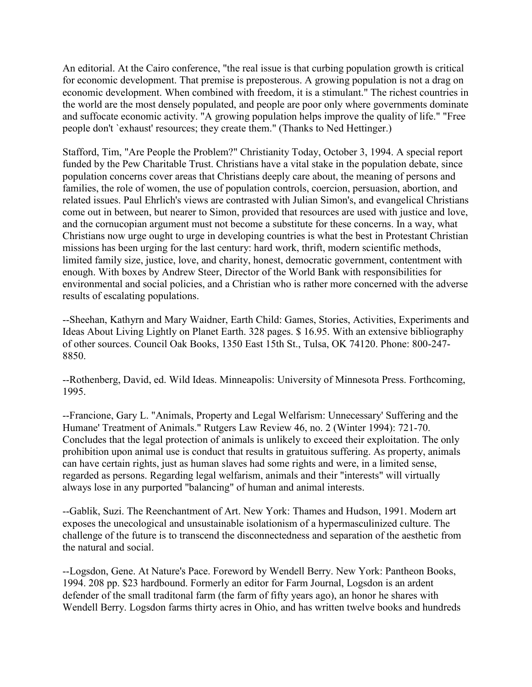An editorial. At the Cairo conference, "the real issue is that curbing population growth is critical for economic development. That premise is preposterous. A growing population is not a drag on economic development. When combined with freedom, it is a stimulant." The richest countries in the world are the most densely populated, and people are poor only where governments dominate and suffocate economic activity. "A growing population helps improve the quality of life." "Free people don't `exhaust' resources; they create them." (Thanks to Ned Hettinger.)

Stafford, Tim, "Are People the Problem?" Christianity Today, October 3, 1994. A special report funded by the Pew Charitable Trust. Christians have a vital stake in the population debate, since population concerns cover areas that Christians deeply care about, the meaning of persons and families, the role of women, the use of population controls, coercion, persuasion, abortion, and related issues. Paul Ehrlich's views are contrasted with Julian Simon's, and evangelical Christians come out in between, but nearer to Simon, provided that resources are used with justice and love, and the cornucopian argument must not become a substitute for these concerns. In a way, what Christians now urge ought to urge in developing countries is what the best in Protestant Christian missions has been urging for the last century: hard work, thrift, modern scientific methods, limited family size, justice, love, and charity, honest, democratic government, contentment with enough. With boxes by Andrew Steer, Director of the World Bank with responsibilities for environmental and social policies, and a Christian who is rather more concerned with the adverse results of escalating populations.

--Sheehan, Kathyrn and Mary Waidner, Earth Child: Games, Stories, Activities, Experiments and Ideas About Living Lightly on Planet Earth. 328 pages. \$ 16.95. With an extensive bibliography of other sources. Council Oak Books, 1350 East 15th St., Tulsa, OK 74120. Phone: 800-247- 8850.

--Rothenberg, David, ed. Wild Ideas. Minneapolis: University of Minnesota Press. Forthcoming, 1995.

--Francione, Gary L. "Animals, Property and Legal Welfarism: Unnecessary' Suffering and the Humane' Treatment of Animals." Rutgers Law Review 46, no. 2 (Winter 1994): 721-70. Concludes that the legal protection of animals is unlikely to exceed their exploitation. The only prohibition upon animal use is conduct that results in gratuitous suffering. As property, animals can have certain rights, just as human slaves had some rights and were, in a limited sense, regarded as persons. Regarding legal welfarism, animals and their "interests" will virtually always lose in any purported "balancing" of human and animal interests.

--Gablik, Suzi. The Reenchantment of Art. New York: Thames and Hudson, 1991. Modern art exposes the unecological and unsustainable isolationism of a hypermasculinized culture. The challenge of the future is to transcend the disconnectedness and separation of the aesthetic from the natural and social.

--Logsdon, Gene. At Nature's Pace. Foreword by Wendell Berry. New York: Pantheon Books, 1994. 208 pp. \$23 hardbound. Formerly an editor for Farm Journal, Logsdon is an ardent defender of the small traditonal farm (the farm of fifty years ago), an honor he shares with Wendell Berry. Logsdon farms thirty acres in Ohio, and has written twelve books and hundreds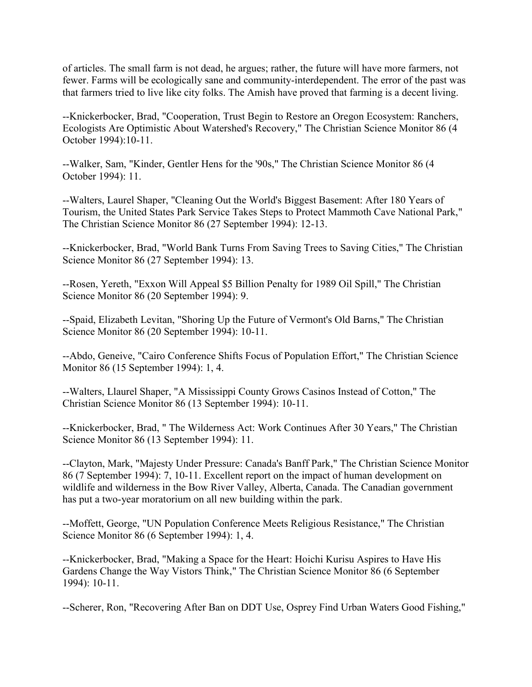of articles. The small farm is not dead, he argues; rather, the future will have more farmers, not fewer. Farms will be ecologically sane and community-interdependent. The error of the past was that farmers tried to live like city folks. The Amish have proved that farming is a decent living.

--Knickerbocker, Brad, "Cooperation, Trust Begin to Restore an Oregon Ecosystem: Ranchers, Ecologists Are Optimistic About Watershed's Recovery," The Christian Science Monitor 86 (4 October 1994):10-11.

--Walker, Sam, "Kinder, Gentler Hens for the '90s," The Christian Science Monitor 86 (4 October 1994): 11.

--Walters, Laurel Shaper, "Cleaning Out the World's Biggest Basement: After 180 Years of Tourism, the United States Park Service Takes Steps to Protect Mammoth Cave National Park," The Christian Science Monitor 86 (27 September 1994): 12-13.

--Knickerbocker, Brad, "World Bank Turns From Saving Trees to Saving Cities," The Christian Science Monitor 86 (27 September 1994): 13.

--Rosen, Yereth, "Exxon Will Appeal \$5 Billion Penalty for 1989 Oil Spill," The Christian Science Monitor 86 (20 September 1994): 9.

--Spaid, Elizabeth Levitan, "Shoring Up the Future of Vermont's Old Barns," The Christian Science Monitor 86 (20 September 1994): 10-11.

--Abdo, Geneive, "Cairo Conference Shifts Focus of Population Effort," The Christian Science Monitor 86 (15 September 1994): 1, 4.

--Walters, Llaurel Shaper, "A Mississippi County Grows Casinos Instead of Cotton," The Christian Science Monitor 86 (13 September 1994): 10-11.

--Knickerbocker, Brad, " The Wilderness Act: Work Continues After 30 Years," The Christian Science Monitor 86 (13 September 1994): 11.

--Clayton, Mark, "Majesty Under Pressure: Canada's Banff Park," The Christian Science Monitor 86 (7 September 1994): 7, 10-11. Excellent report on the impact of human development on wildlife and wilderness in the Bow River Valley, Alberta, Canada. The Canadian government has put a two-year moratorium on all new building within the park.

--Moffett, George, "UN Population Conference Meets Religious Resistance," The Christian Science Monitor 86 (6 September 1994): 1, 4.

--Knickerbocker, Brad, "Making a Space for the Heart: Hoichi Kurisu Aspires to Have His Gardens Change the Way Vistors Think," The Christian Science Monitor 86 (6 September 1994): 10-11.

--Scherer, Ron, "Recovering After Ban on DDT Use, Osprey Find Urban Waters Good Fishing,"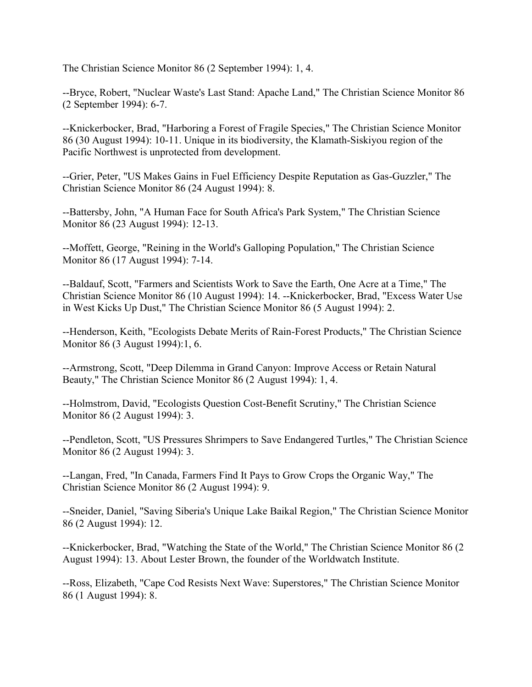The Christian Science Monitor 86 (2 September 1994): 1, 4.

--Bryce, Robert, "Nuclear Waste's Last Stand: Apache Land," The Christian Science Monitor 86 (2 September 1994): 6-7.

--Knickerbocker, Brad, "Harboring a Forest of Fragile Species," The Christian Science Monitor 86 (30 August 1994): 10-11. Unique in its biodiversity, the Klamath-Siskiyou region of the Pacific Northwest is unprotected from development.

--Grier, Peter, "US Makes Gains in Fuel Efficiency Despite Reputation as Gas-Guzzler," The Christian Science Monitor 86 (24 August 1994): 8.

--Battersby, John, "A Human Face for South Africa's Park System," The Christian Science Monitor 86 (23 August 1994): 12-13.

--Moffett, George, "Reining in the World's Galloping Population," The Christian Science Monitor 86 (17 August 1994): 7-14.

--Baldauf, Scott, "Farmers and Scientists Work to Save the Earth, One Acre at a Time," The Christian Science Monitor 86 (10 August 1994): 14. --Knickerbocker, Brad, "Excess Water Use in West Kicks Up Dust," The Christian Science Monitor 86 (5 August 1994): 2.

--Henderson, Keith, "Ecologists Debate Merits of Rain-Forest Products," The Christian Science Monitor 86 (3 August 1994):1, 6.

--Armstrong, Scott, "Deep Dilemma in Grand Canyon: Improve Access or Retain Natural Beauty," The Christian Science Monitor 86 (2 August 1994): 1, 4.

--Holmstrom, David, "Ecologists Question Cost-Benefit Scrutiny," The Christian Science Monitor 86 (2 August 1994): 3.

--Pendleton, Scott, "US Pressures Shrimpers to Save Endangered Turtles," The Christian Science Monitor 86 (2 August 1994): 3.

--Langan, Fred, "In Canada, Farmers Find It Pays to Grow Crops the Organic Way," The Christian Science Monitor 86 (2 August 1994): 9.

--Sneider, Daniel, "Saving Siberia's Unique Lake Baikal Region," The Christian Science Monitor 86 (2 August 1994): 12.

--Knickerbocker, Brad, "Watching the State of the World," The Christian Science Monitor 86 (2 August 1994): 13. About Lester Brown, the founder of the Worldwatch Institute.

--Ross, Elizabeth, "Cape Cod Resists Next Wave: Superstores," The Christian Science Monitor 86 (1 August 1994): 8.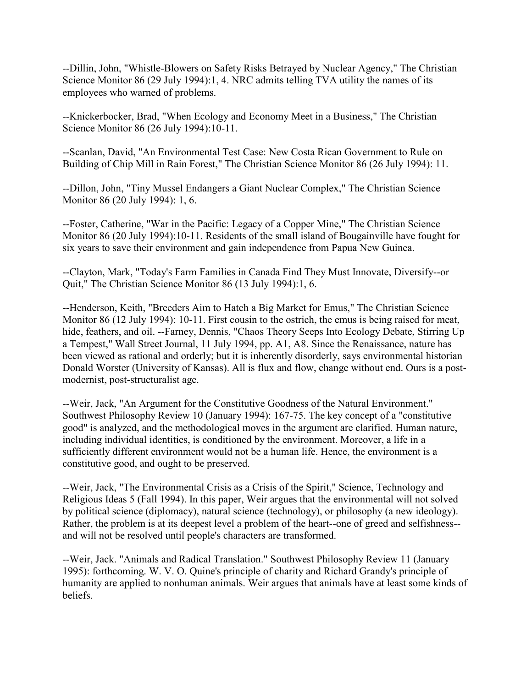--Dillin, John, "Whistle-Blowers on Safety Risks Betrayed by Nuclear Agency," The Christian Science Monitor 86 (29 July 1994):1, 4. NRC admits telling TVA utility the names of its employees who warned of problems.

--Knickerbocker, Brad, "When Ecology and Economy Meet in a Business," The Christian Science Monitor 86 (26 July 1994):10-11.

--Scanlan, David, "An Environmental Test Case: New Costa Rican Government to Rule on Building of Chip Mill in Rain Forest," The Christian Science Monitor 86 (26 July 1994): 11.

--Dillon, John, "Tiny Mussel Endangers a Giant Nuclear Complex," The Christian Science Monitor 86 (20 July 1994): 1, 6.

--Foster, Catherine, "War in the Pacific: Legacy of a Copper Mine," The Christian Science Monitor 86 (20 July 1994):10-11. Residents of the small island of Bougainville have fought for six years to save their environment and gain independence from Papua New Guinea.

--Clayton, Mark, "Today's Farm Families in Canada Find They Must Innovate, Diversify--or Quit," The Christian Science Monitor 86 (13 July 1994):1, 6.

--Henderson, Keith, "Breeders Aim to Hatch a Big Market for Emus," The Christian Science Monitor 86 (12 July 1994): 10-11. First cousin to the ostrich, the emus is being raised for meat, hide, feathers, and oil. --Farney, Dennis, "Chaos Theory Seeps Into Ecology Debate, Stirring Up a Tempest," Wall Street Journal, 11 July 1994, pp. A1, A8. Since the Renaissance, nature has been viewed as rational and orderly; but it is inherently disorderly, says environmental historian Donald Worster (University of Kansas). All is flux and flow, change without end. Ours is a postmodernist, post-structuralist age.

--Weir, Jack, "An Argument for the Constitutive Goodness of the Natural Environment." Southwest Philosophy Review 10 (January 1994): 167-75. The key concept of a "constitutive good" is analyzed, and the methodological moves in the argument are clarified. Human nature, including individual identities, is conditioned by the environment. Moreover, a life in a sufficiently different environment would not be a human life. Hence, the environment is a constitutive good, and ought to be preserved.

--Weir, Jack, "The Environmental Crisis as a Crisis of the Spirit," Science, Technology and Religious Ideas 5 (Fall 1994). In this paper, Weir argues that the environmental will not solved by political science (diplomacy), natural science (technology), or philosophy (a new ideology). Rather, the problem is at its deepest level a problem of the heart--one of greed and selfishness- and will not be resolved until people's characters are transformed.

--Weir, Jack. "Animals and Radical Translation." Southwest Philosophy Review 11 (January 1995): forthcoming. W. V. O. Quine's principle of charity and Richard Grandy's principle of humanity are applied to nonhuman animals. Weir argues that animals have at least some kinds of beliefs.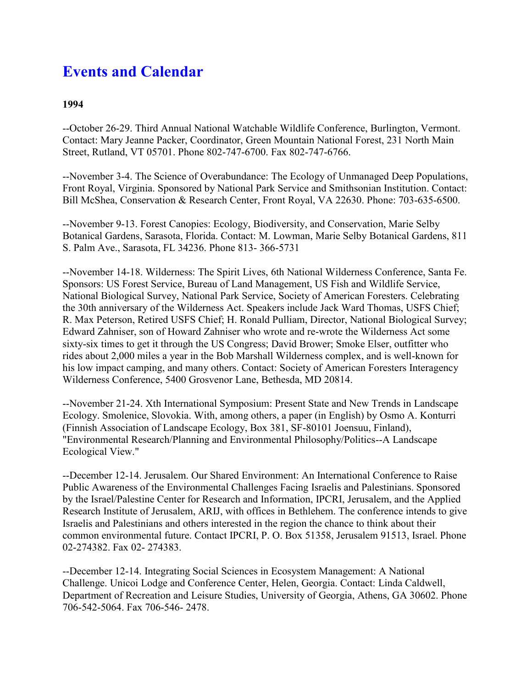# **Events and Calendar**

### **1994**

--October 26-29. Third Annual National Watchable Wildlife Conference, Burlington, Vermont. Contact: Mary Jeanne Packer, Coordinator, Green Mountain National Forest, 231 North Main Street, Rutland, VT 05701. Phone 802-747-6700. Fax 802-747-6766.

--November 3-4. The Science of Overabundance: The Ecology of Unmanaged Deep Populations, Front Royal, Virginia. Sponsored by National Park Service and Smithsonian Institution. Contact: Bill McShea, Conservation & Research Center, Front Royal, VA 22630. Phone: 703-635-6500.

--November 9-13. Forest Canopies: Ecology, Biodiversity, and Conservation, Marie Selby Botanical Gardens, Sarasota, Florida. Contact: M. Lowman, Marie Selby Botanical Gardens, 811 S. Palm Ave., Sarasota, FL 34236. Phone 813- 366-5731

--November 14-18. Wilderness: The Spirit Lives, 6th National Wilderness Conference, Santa Fe. Sponsors: US Forest Service, Bureau of Land Management, US Fish and Wildlife Service, National Biological Survey, National Park Service, Society of American Foresters. Celebrating the 30th anniversary of the Wilderness Act. Speakers include Jack Ward Thomas, USFS Chief; R. Max Peterson, Retired USFS Chief; H. Ronald Pulliam, Director, National Biological Survey; Edward Zahniser, son of Howard Zahniser who wrote and re-wrote the Wilderness Act some sixty-six times to get it through the US Congress; David Brower; Smoke Elser, outfitter who rides about 2,000 miles a year in the Bob Marshall Wilderness complex, and is well-known for his low impact camping, and many others. Contact: Society of American Foresters Interagency Wilderness Conference, 5400 Grosvenor Lane, Bethesda, MD 20814.

--November 21-24. Xth International Symposium: Present State and New Trends in Landscape Ecology. Smolenice, Slovokia. With, among others, a paper (in English) by Osmo A. Konturri (Finnish Association of Landscape Ecology, Box 381, SF-80101 Joensuu, Finland), "Environmental Research/Planning and Environmental Philosophy/Politics--A Landscape Ecological View."

--December 12-14. Jerusalem. Our Shared Environment: An International Conference to Raise Public Awareness of the Environmental Challenges Facing Israelis and Palestinians. Sponsored by the Israel/Palestine Center for Research and Information, IPCRI, Jerusalem, and the Applied Research Institute of Jerusalem, ARIJ, with offices in Bethlehem. The conference intends to give Israelis and Palestinians and others interested in the region the chance to think about their common environmental future. Contact IPCRI, P. O. Box 51358, Jerusalem 91513, Israel. Phone 02-274382. Fax 02- 274383.

--December 12-14. Integrating Social Sciences in Ecosystem Management: A National Challenge. Unicoi Lodge and Conference Center, Helen, Georgia. Contact: Linda Caldwell, Department of Recreation and Leisure Studies, University of Georgia, Athens, GA 30602. Phone 706-542-5064. Fax 706-546- 2478.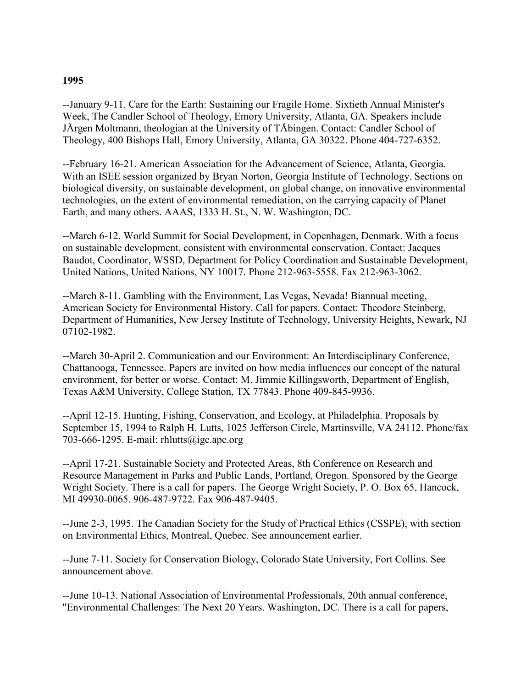#### **1995**

--January 9-11. Care for the Earth: Sustaining our Fragile Home. Sixtieth Annual Minister's Week, The Candler School of Theology, Emory University, Atlanta, GA. Speakers include JÅrgen Moltmann, theologian at the University of TÅbingen. Contact: Candler School of Theology, 400 Bishops Hall, Emory University, Atlanta, GA 30322. Phone 404-727-6352.

--February 16-21. American Association for the Advancement of Science, Atlanta, Georgia. With an ISEE session organized by Bryan Norton, Georgia Institute of Technology. Sections on biological diversity, on sustainable development, on global change, on innovative environmental technologies, on the extent of environmental remediation, on the carrying capacity of Planet Earth, and many others. AAAS, 1333 H. St., N. W. Washington, DC.

--March 6-12. World Summit for Social Development, in Copenhagen, Denmark. With a focus on sustainable development, consistent with environmental conservation. Contact: Jacques Baudot, Coordinator, WSSD, Department for Policy Coordination and Sustainable Development, United Nations, United Nations, NY 10017. Phone 212-963-5558. Fax 212-963-3062.

--March 8-11. Gambling with the Environment, Las Vegas, Nevada! Biannual meeting, American Society for Environmental History. Call for papers. Contact: Theodore Steinberg, Department of Humanities, New Jersey Institute of Technology, University Heights, Newark, NJ 07102-1982.

--March 30-April 2. Communication and our Environment: An Interdisciplinary Conference, Chattanooga, Tennessee. Papers are invited on how media influences our concept of the natural environment, for better or worse. Contact: M. Jimmie Killingsworth, Department of English, Texas A&M University, College Station, TX 77843. Phone 409-845-9936.

--April 12-15. Hunting, Fishing, Conservation, and Ecology, at Philadelphia. Proposals by September 15, 1994 to Ralph H. Lutts, 1025 Jefferson Circle, Martinsville, VA 24112. Phone/fax 703-666-1295. E-mail: rhlutts@igc.apc.org

--April 17-21. Sustainable Society and Protected Areas, 8th Conference on Research and Resource Management in Parks and Public Lands, Portland, Oregon. Sponsored by the George Wright Society. There is a call for papers. The George Wright Society, P. O. Box 65, Hancock, MI 49930-0065. 906-487-9722. Fax 906-487-9405.

--June 2-3, 1995. The Canadian Society for the Study of Practical Ethics (CSSPE), with section on Environmental Ethics, Montreal, Quebec. See announcement earlier.

--June 7-11. Society for Conservation Biology, Colorado State University, Fort Collins. See announcement above.

--June 10-13. National Association of Environmental Professionals, 20th annual conference, "Environmental Challenges: The Next 20 Years. Washington, DC. There is a call for papers,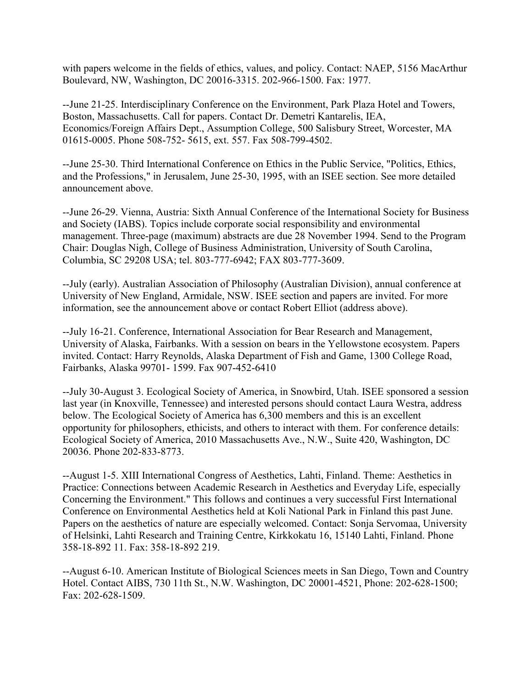with papers welcome in the fields of ethics, values, and policy. Contact: NAEP, 5156 MacArthur Boulevard, NW, Washington, DC 20016-3315. 202-966-1500. Fax: 1977.

--June 21-25. Interdisciplinary Conference on the Environment, Park Plaza Hotel and Towers, Boston, Massachusetts. Call for papers. Contact Dr. Demetri Kantarelis, IEA, Economics/Foreign Affairs Dept., Assumption College, 500 Salisbury Street, Worcester, MA 01615-0005. Phone 508-752- 5615, ext. 557. Fax 508-799-4502.

--June 25-30. Third International Conference on Ethics in the Public Service, "Politics, Ethics, and the Professions," in Jerusalem, June 25-30, 1995, with an ISEE section. See more detailed announcement above.

--June 26-29. Vienna, Austria: Sixth Annual Conference of the International Society for Business and Society (IABS). Topics include corporate social responsibility and environmental management. Three-page (maximum) abstracts are due 28 November 1994. Send to the Program Chair: Douglas Nigh, College of Business Administration, University of South Carolina, Columbia, SC 29208 USA; tel. 803-777-6942; FAX 803-777-3609.

--July (early). Australian Association of Philosophy (Australian Division), annual conference at University of New England, Armidale, NSW. ISEE section and papers are invited. For more information, see the announcement above or contact Robert Elliot (address above).

--July 16-21. Conference, International Association for Bear Research and Management, University of Alaska, Fairbanks. With a session on bears in the Yellowstone ecosystem. Papers invited. Contact: Harry Reynolds, Alaska Department of Fish and Game, 1300 College Road, Fairbanks, Alaska 99701- 1599. Fax 907-452-6410

--July 30-August 3. Ecological Society of America, in Snowbird, Utah. ISEE sponsored a session last year (in Knoxville, Tennessee) and interested persons should contact Laura Westra, address below. The Ecological Society of America has 6,300 members and this is an excellent opportunity for philosophers, ethicists, and others to interact with them. For conference details: Ecological Society of America, 2010 Massachusetts Ave., N.W., Suite 420, Washington, DC 20036. Phone 202-833-8773.

--August 1-5. XIII International Congress of Aesthetics, Lahti, Finland. Theme: Aesthetics in Practice: Connections between Academic Research in Aesthetics and Everyday Life, especially Concerning the Environment." This follows and continues a very successful First International Conference on Environmental Aesthetics held at Koli National Park in Finland this past June. Papers on the aesthetics of nature are especially welcomed. Contact: Sonja Servomaa, University of Helsinki, Lahti Research and Training Centre, Kirkkokatu 16, 15140 Lahti, Finland. Phone 358-18-892 11. Fax: 358-18-892 219.

--August 6-10. American Institute of Biological Sciences meets in San Diego, Town and Country Hotel. Contact AIBS, 730 11th St., N.W. Washington, DC 20001-4521, Phone: 202-628-1500; Fax: 202-628-1509.